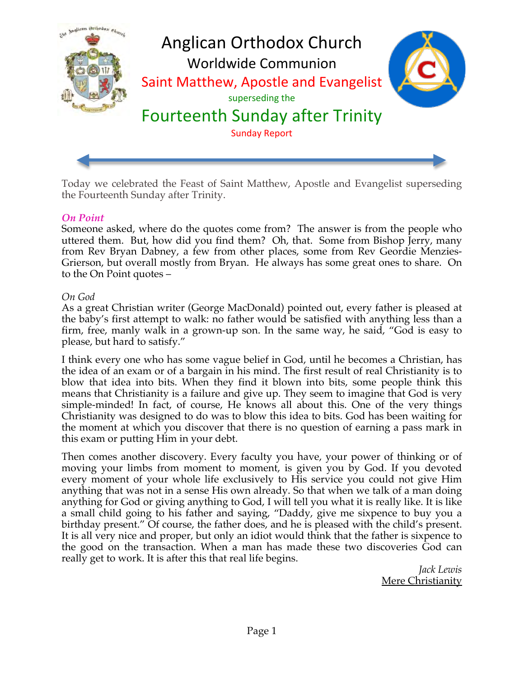

Today we celebrated the Feast of Saint Matthew, Apostle and Evangelist superseding the Fourteenth Sunday after Trinity.

#### *On Point*

Someone asked, where do the quotes come from? The answer is from the people who uttered them. But, how did you find them? Oh, that. Some from Bishop Jerry, many from Rev Bryan Dabney, a few from other places, some from Rev Geordie Menzies-Grierson, but overall mostly from Bryan. He always has some great ones to share. On to the On Point quotes –

### *On God*

As a great Christian writer (George MacDonald) pointed out, every father is pleased at the baby's first attempt to walk: no father would be satisfied with anything less than a firm, free, manly walk in a grown-up son. In the same way, he said, "God is easy to please, but hard to satisfy."

I think every one who has some vague belief in God, until he becomes a Christian, has the idea of an exam or of a bargain in his mind. The first result of real Christianity is to blow that idea into bits. When they find it blown into bits, some people think this means that Christianity is a failure and give up. They seem to imagine that God is very simple-minded! In fact, of course, He knows all about this. One of the very things Christianity was designed to do was to blow this idea to bits. God has been waiting for the moment at which you discover that there is no question of earning a pass mark in this exam or putting Him in your debt.

Then comes another discovery. Every faculty you have, your power of thinking or of moving your limbs from moment to moment, is given you by God. If you devoted every moment of your whole life exclusively to His service you could not give Him anything that was not in a sense His own already. So that when we talk of a man doing anything for God or giving anything to God, I will tell you what it is really like. It is like a small child going to his father and saying, "Daddy, give me sixpence to buy you a birthday present." Of course, the father does, and he is pleased with the child's present. It is all very nice and proper, but only an idiot would think that the father is sixpence to the good on the transaction. When a man has made these two discoveries God can really get to work. It is after this that real life begins.

*Jack Lewis* Mere Christianity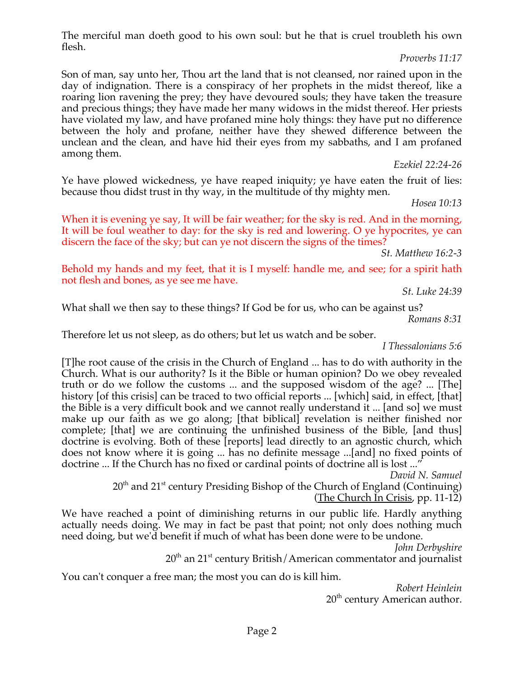The merciful man doeth good to his own soul: but he that is cruel troubleth his own flesh.

*Proverbs 11:17*

Son of man, say unto her, Thou art the land that is not cleansed, nor rained upon in the day of indignation. There is a conspiracy of her prophets in the midst thereof, like a roaring lion ravening the prey; they have devoured souls; they have taken the treasure and precious things; they have made her many widows in the midst thereof. Her priests have violated my law, and have profaned mine holy things: they have put no difference between the holy and profane, neither have they shewed difference between the unclean and the clean, and have hid their eyes from my sabbaths, and I am profaned among them.

*Ezekiel 22:24-26*

Ye have plowed wickedness, ye have reaped iniquity; ye have eaten the fruit of lies: because thou didst trust in thy way, in the multitude of thy mighty men.

*Hosea 10:13*

When it is evening ye say, It will be fair weather; for the sky is red. And in the morning, It will be foul weather to day: for the sky is red and lowering. O ye hypocrites, ye can discern the face of the sky; but can ye not discern the signs of the times?

*St. Matthew 16:2-3*

Behold my hands and my feet, that it is I myself: handle me, and see; for a spirit hath not flesh and bones, as ye see me have.

*St. Luke 24:39*

What shall we then say to these things? If God be for us, who can be against us?

*Romans 8:31*

Therefore let us not sleep, as do others; but let us watch and be sober.

*I Thessalonians 5:6*

[T]he root cause of the crisis in the Church of England ... has to do with authority in the Church. What is our authority? Is it the Bible or human opinion? Do we obey revealed truth or do we follow the customs ... and the supposed wisdom of the age? ... [The] history [of this crisis] can be traced to two official reports ... [which] said, in effect, [that] the Bible is a very difficult book and we cannot really understand it ... [and so] we must make up our faith as we go along; [that biblical] revelation is neither finished nor complete; [that] we are continuing the unfinished business of the Bible, [and thus] doctrine is evolving. Both of these [reports] lead directly to an agnostic church, which does not know where it is going ... has no definite message ...[and] no fixed points of doctrine ... If the Church has no fixed or cardinal points of doctrine all is lost ...'

*David N. Samuel*

20<sup>th</sup> and 21<sup>st</sup> century Presiding Bishop of the Church of England (Continuing) (The Church In Crisis, pp. 11-12)

We have reached a point of diminishing returns in our public life. Hardly anything actually needs doing. We may in fact be past that point; not only does nothing much need doing, but we'd benefit if much of what has been done were to be undone.

*John Derbyshire*

20<sup>th</sup> an 21<sup>st</sup> century British/American commentator and journalist

You can't conquer a free man; the most you can do is kill him.

*Robert Heinlein* 20<sup>th</sup> century American author.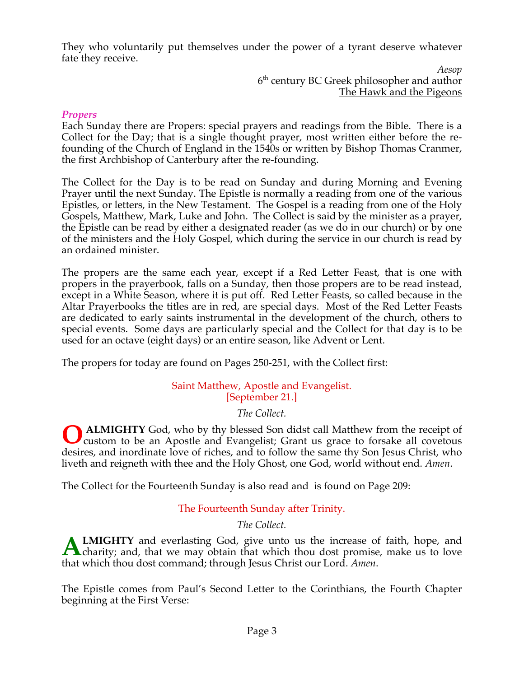They who voluntarily put themselves under the power of a tyrant deserve whatever fate they receive.

> *Aesop* 6<sup>th</sup> century BC Greek philosopher and author The Hawk and the Pigeons

#### *Propers*

Each Sunday there are Propers: special prayers and readings from the Bible. There is a Collect for the Day; that is a single thought prayer, most written either before the refounding of the Church of England in the 1540s or written by Bishop Thomas Cranmer, the first Archbishop of Canterbury after the re-founding.

The Collect for the Day is to be read on Sunday and during Morning and Evening Prayer until the next Sunday. The Epistle is normally a reading from one of the various Epistles, or letters, in the New Testament. The Gospel is a reading from one of the Holy Gospels, Matthew, Mark, Luke and John. The Collect is said by the minister as a prayer, the Epistle can be read by either a designated reader (as we do in our church) or by one of the ministers and the Holy Gospel, which during the service in our church is read by an ordained minister.

The propers are the same each year, except if a Red Letter Feast, that is one with propers in the prayerbook, falls on a Sunday, then those propers are to be read instead, except in a White Season, where it is put off. Red Letter Feasts, so called because in the Altar Prayerbooks the titles are in red, are special days. Most of the Red Letter Feasts are dedicated to early saints instrumental in the development of the church, others to special events. Some days are particularly special and the Collect for that day is to be used for an octave (eight days) or an entire season, like Advent or Lent.

The propers for today are found on Pages 250-251, with the Collect first:

### Saint Matthew, Apostle and Evangelist. [September 21.]

*The Collect.*

 **ALMIGHTY** God, who by thy blessed Son didst call Matthew from the receipt of custom to be an Apostle and Evangelist; Grant us grace to forsake all covetous desires, and inordinate love of riches, and to follow the same thy Son Jesus Christ, who liveth and reigneth with thee and the Holy Ghost, one God, world without end. *Amen*. **O**

The Collect for the Fourteenth Sunday is also read and is found on Page 209:

# The Fourteenth Sunday after Trinity.

*The Collect.*

**LMIGHTY** and everlasting God, give unto us the increase of faith, hope, and **ALMIGHTY** and everlasting God, give unto us the increase of faith, hope, and charity; and, that we may obtain that which thou dost promise, make us to love that which thou dost command; through Jesus Christ our Lord. *Amen*.

The Epistle comes from Paul's Second Letter to the Corinthians, the Fourth Chapter beginning at the First Verse: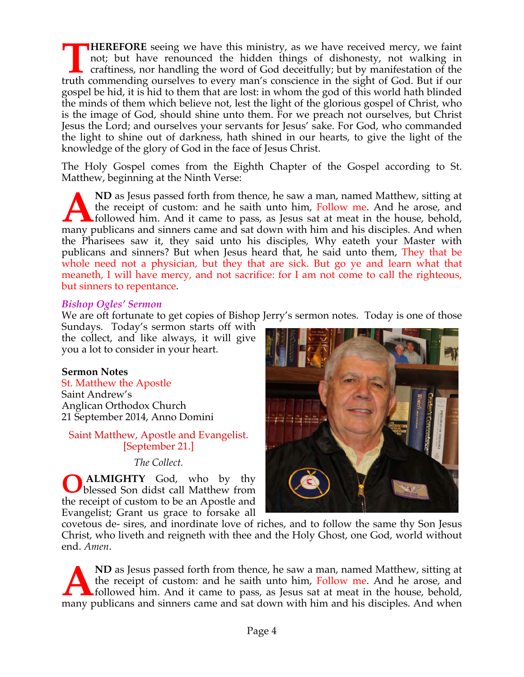**HEREFORE** seeing we have this ministry, as we have received mercy, we faint not; but have renounced the hidden things of dishonesty, not walking in craftiness, nor handling the word of God deceitfully; but by manifestation of the **THEREFORE** seeing we have this ministry, as we have received mercy, we faint not; but have renounced the hidden things of dishonesty, not walking in craftiness, nor handling the word of God deceitfully; but by manifestati gospel be hid, it is hid to them that are lost: in whom the god of this world hath blinded the minds of them which believe not, lest the light of the glorious gospel of Christ, who is the image of God, should shine unto them. For we preach not ourselves, but Christ Jesus the Lord; and ourselves your servants for Jesus' sake. For God, who commanded the light to shine out of darkness, hath shined in our hearts, to give the light of the knowledge of the glory of God in the face of Jesus Christ.

The Holy Gospel comes from the Eighth Chapter of the Gospel according to St. Matthew, beginning at the Ninth Verse:

**ND** as Jesus passed forth from thence, he saw a man, named Matthew, sitting at the receipt of custom: and he saith unto him, Follow me. And he arose, and **A** followed him. And it came to pass, as Jesus sat at meat in the house, behold, ND as Jesus passed forth from thence, he saw a man, named Matthew, sitting at the receipt of custom: and he saith unto him, Follow me. And he arose, and followed him. And it came to pass, as Jesus sat at meat in the house, the Pharisees saw it, they said unto his disciples, Why eateth your Master with publicans and sinners? But when Jesus heard that, he said unto them, They that be whole need not a physician, but they that are sick. But go ye and learn what that meaneth, I will have mercy, and not sacrifice: for I am not come to call the righteous, but sinners to repentance.

#### *Bishop Ogles' Sermon*

We are oft fortunate to get copies of Bishop Jerry's sermon notes. Today is one of those

Sundays. Today's sermon starts off with the collect, and like always, it will give you a lot to consider in your heart.

#### **Sermon Notes**

St. Matthew the Apostle Saint Andrew's Anglican Orthodox Church 21 September 2014, Anno Domini

Saint Matthew, Apostle and Evangelist. [September 21.]

*The Collect.*

 **ALMIGHTY** God, who by thy **O** ALMIGHTY God, who by thy blessed Son didst call Matthew from the receipt of custom to be an Apostle and Evangelist; Grant us grace to forsake all



covetous de- sires, and inordinate love of riches, and to follow the same thy Son Jesus Christ, who liveth and reigneth with thee and the Holy Ghost, one God, world without end. *Amen*.

**ND** as Jesus passed forth from thence, he saw a man, named Matthew, sitting at the receipt of custom: and he saith unto him, Follow me. And he arose, and followed him. And it came to pass, as Jesus sat at meat in the house, behold, ND as Jesus passed forth from thence, he saw a man, named Matthew, sitting at the receipt of custom: and he saith unto him, Follow me. And he arose, and followed him. And it came to pass, as Jesus sat at meat in the house,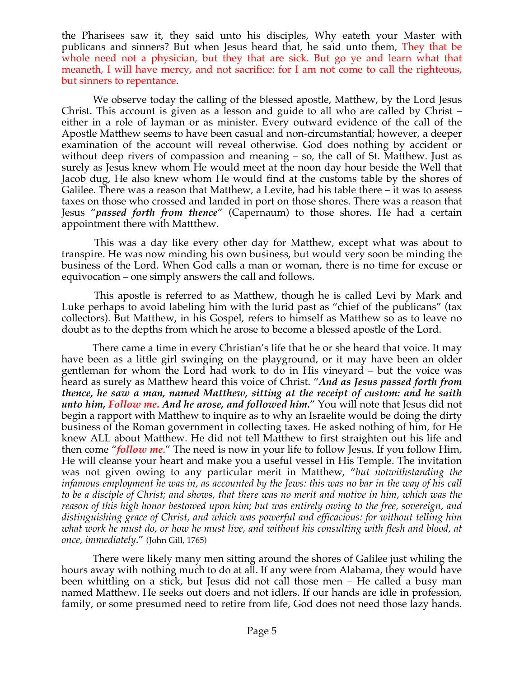the Pharisees saw it, they said unto his disciples, Why eateth your Master with publicans and sinners? But when Jesus heard that, he said unto them, They that be whole need not a physician, but they that are sick. But go ye and learn what that meaneth, I will have mercy, and not sacrifice: for I am not come to call the righteous, but sinners to repentance.

 We observe today the calling of the blessed apostle, Matthew, by the Lord Jesus Christ. This account is given as a lesson and guide to all who are called by Christ – either in a role of layman or as minister. Every outward evidence of the call of the Apostle Matthew seems to have been casual and non-circumstantial; however, a deeper examination of the account will reveal otherwise. God does nothing by accident or without deep rivers of compassion and meaning – so, the call of St. Matthew. Just as surely as Jesus knew whom He would meet at the noon day hour beside the Well that Jacob dug, He also knew whom He would find at the customs table by the shores of Galilee. There was a reason that Matthew, a Levite, had his table there – it was to assess taxes on those who crossed and landed in port on those shores. There was a reason that Jesus "*passed forth from thence*" (Capernaum) to those shores. He had a certain appointment there with Mattthew.

 This was a day like every other day for Matthew, except what was about to transpire. He was now minding his own business, but would very soon be minding the business of the Lord. When God calls a man or woman, there is no time for excuse or equivocation – one simply answers the call and follows.

 This apostle is referred to as Matthew, though he is called Levi by Mark and Luke perhaps to avoid labeling him with the lurid past as "chief of the publicans" (tax collectors). But Matthew, in his Gospel, refers to himself as Matthew so as to leave no doubt as to the depths from which he arose to become a blessed apostle of the Lord.

 There came a time in every Christian's life that he or she heard that voice. It may have been as a little girl swinging on the playground, or it may have been an older gentleman for whom the Lord had work to do in His vineyard – but the voice was heard as surely as Matthew heard this voice of Christ. "*And as Jesus passed forth from thence, he saw a man, named Matthew, sitting at the receipt of custom: and he saith unto him, Follow me. And he arose, and followed him.*" You will note that Jesus did not begin a rapport with Matthew to inquire as to why an Israelite would be doing the dirty business of the Roman government in collecting taxes. He asked nothing of him, for He knew ALL about Matthew. He did not tell Matthew to first straighten out his life and then come "*follow me*." The need is now in your life to follow Jesus. If you follow Him, He will cleanse your heart and make you a useful vessel in His Temple. The invitation was not given owing to any particular merit in Matthew, "*but notwithstanding the infamous employment he was in, as accounted by the Jews: this was no bar in the way of his call to be a disciple of Christ; and shows, that there was no merit and motive in him, which was the reason of this high honor bestowed upon him; but was entirely owing to the free, sovereign, and distinguishing grace of Christ, and which was powerful and efficacious: for without telling him what work he must do, or how he must live, and without his consulting with flesh and blood, at once, immediately*." (John Gill, 1765)

 There were likely many men sitting around the shores of Galilee just whiling the hours away with nothing much to do at all. If any were from Alabama, they would have been whittling on a stick, but Jesus did not call those men – He called a busy man named Matthew. He seeks out doers and not idlers. If our hands are idle in profession, family, or some presumed need to retire from life, God does not need those lazy hands.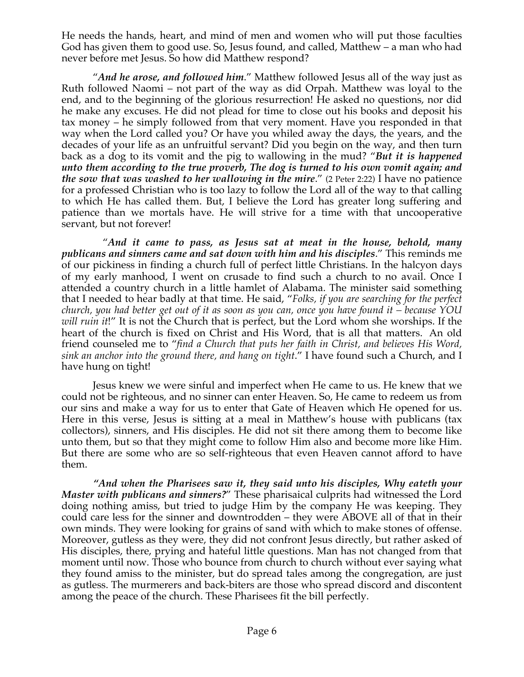He needs the hands, heart, and mind of men and women who will put those faculties God has given them to good use. So, Jesus found, and called, Matthew – a man who had never before met Jesus. So how did Matthew respond?

 "*And he arose, and followed him*." Matthew followed Jesus all of the way just as Ruth followed Naomi – not part of the way as did Orpah. Matthew was loyal to the end, and to the beginning of the glorious resurrection! He asked no questions, nor did he make any excuses. He did not plead for time to close out his books and deposit his tax money – he simply followed from that very moment. Have you responded in that way when the Lord called you? Or have you whiled away the days, the years, and the decades of your life as an unfruitful servant? Did you begin on the way, and then turn back as a dog to its vomit and the pig to wallowing in the mud? "*But it is happened unto them according to the true proverb, The dog is turned to his own vomit again; and the sow that was washed to her wallowing in the mire."* (2 Peter 2:22) I have no patience for a professed Christian who is too lazy to follow the Lord all of the way to that calling to which He has called them. But, I believe the Lord has greater long suffering and patience than we mortals have. He will strive for a time with that uncooperative servant, but not forever!

"*And it came to pass, as Jesus sat at meat in the house, behold, many publicans and sinners came and sat down with him and his disciples*." This reminds me of our pickiness in finding a church full of perfect little Christians. In the halcyon days of my early manhood, I went on crusade to find such a church to no avail. Once I attended a country church in a little hamlet of Alabama. The minister said something that I needed to hear badly at that time. He said, "*Folks, if you are searching for the perfect church, you had better get out of it as soon as you can, once you have found it – because YOU will ruin it*!" It is not the Church that is perfect, but the Lord whom she worships. If the heart of the church is fixed on Christ and His Word, that is all that matters. An old friend counseled me to "*find a Church that puts her faith in Christ, and believes His Word, sink an anchor into the ground there, and hang on tight*." I have found such a Church, and I have hung on tight!

 Jesus knew we were sinful and imperfect when He came to us. He knew that we could not be righteous, and no sinner can enter Heaven. So, He came to redeem us from our sins and make a way for us to enter that Gate of Heaven which He opened for us. Here in this verse, Jesus is sitting at a meal in Matthew's house with publicans (tax collectors), sinners, and His disciples. He did not sit there among them to become like unto them, but so that they might come to follow Him also and become more like Him. But there are some who are so self-righteous that even Heaven cannot afford to have them.

 *"And when the Pharisees saw it, they said unto his disciples, Why eateth your Master with publicans and sinners?*" These pharisaical culprits had witnessed the Lord doing nothing amiss, but tried to judge Him by the company He was keeping. They could care less for the sinner and downtrodden – they were ABOVE all of that in their own minds. They were looking for grains of sand with which to make stones of offense. Moreover, gutless as they were, they did not confront Jesus directly, but rather asked of His disciples, there, prying and hateful little questions. Man has not changed from that moment until now. Those who bounce from church to church without ever saying what they found amiss to the minister, but do spread tales among the congregation, are just as gutless. The murmerers and back-biters are those who spread discord and discontent among the peace of the church. These Pharisees fit the bill perfectly.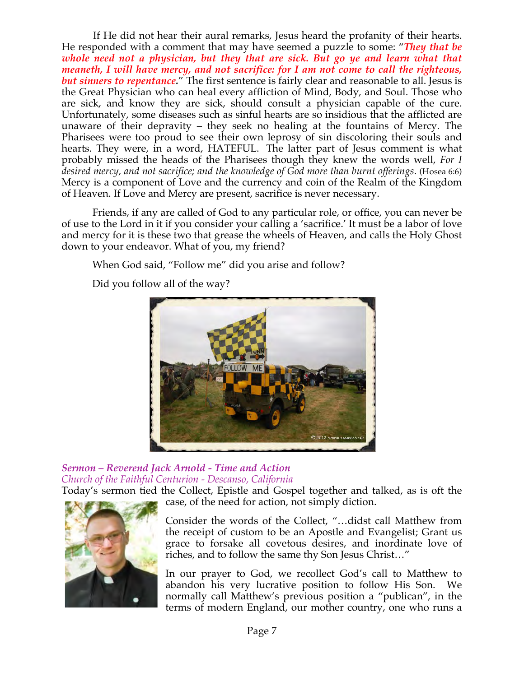If He did not hear their aural remarks, Jesus heard the profanity of their hearts. He responded with a comment that may have seemed a puzzle to some: "*They that be whole need not a physician, but they that are sick. But go ye and learn what that meaneth, I will have mercy, and not sacrifice: for I am not come to call the righteous, but sinners to repentance.*" The first sentence is fairly clear and reasonable to all. Jesus is the Great Physician who can heal every affliction of Mind, Body, and Soul. Those who are sick, and know they are sick, should consult a physician capable of the cure. Unfortunately, some diseases such as sinful hearts are so insidious that the afflicted are unaware of their depravity – they seek no healing at the fountains of Mercy. The Pharisees were too proud to see their own leprosy of sin discoloring their souls and hearts. They were, in a word, HATEFUL. The latter part of Jesus comment is what probably missed the heads of the Pharisees though they knew the words well, *For I desired mercy, and not sacrifice; and the knowledge of God more than burnt offerings*. (Hosea 6:6) Mercy is a component of Love and the currency and coin of the Realm of the Kingdom of Heaven. If Love and Mercy are present, sacrifice is never necessary.

 Friends, if any are called of God to any particular role, or office, you can never be of use to the Lord in it if you consider your calling a 'sacrifice.' It must be a labor of love and mercy for it is these two that grease the wheels of Heaven, and calls the Holy Ghost down to your endeavor. What of you, my friend?

When God said, "Follow me" did you arise and follow?

Did you follow all of the way?



# *Sermon – Reverend Jack Arnold - Time and Action Church of the Faithful Centurion - Descanso, California*

Today's sermon tied the Collect, Epistle and Gospel together and talked, as is oft the case, of the need for action, not simply diction.



Consider the words of the Collect, "…didst call Matthew from the receipt of custom to be an Apostle and Evangelist; Grant us grace to forsake all covetous desires, and inordinate love of riches, and to follow the same thy Son Jesus Christ…"

In our prayer to God, we recollect God's call to Matthew to abandon his very lucrative position to follow His Son. We normally call Matthew's previous position a "publican", in the terms of modern England, our mother country, one who runs a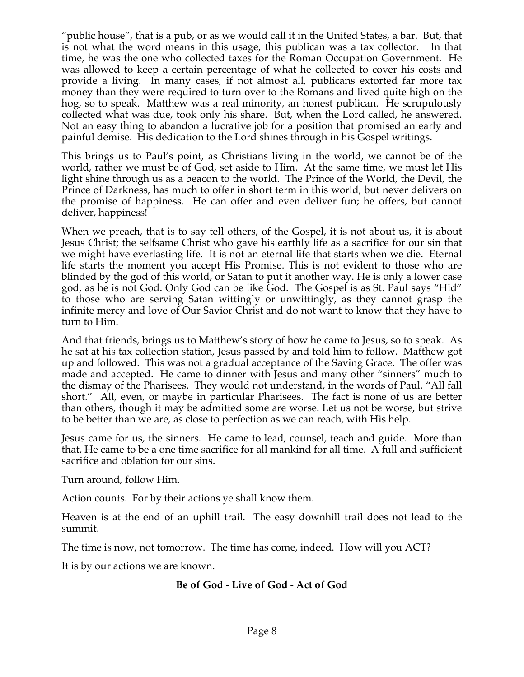"public house", that is a pub, or as we would call it in the United States, a bar. But, that is not what the word means in this usage, this publican was a tax collector. In that time, he was the one who collected taxes for the Roman Occupation Government. He was allowed to keep a certain percentage of what he collected to cover his costs and provide a living. In many cases, if not almost all, publicans extorted far more tax money than they were required to turn over to the Romans and lived quite high on the hog, so to speak. Matthew was a real minority, an honest publican. He scrupulously collected what was due, took only his share. But, when the Lord called, he answered. Not an easy thing to abandon a lucrative job for a position that promised an early and painful demise. His dedication to the Lord shines through in his Gospel writings.

This brings us to Paul's point, as Christians living in the world, we cannot be of the world, rather we must be of God, set aside to Him. At the same time, we must let His light shine through us as a beacon to the world. The Prince of the World, the Devil, the Prince of Darkness, has much to offer in short term in this world, but never delivers on the promise of happiness. He can offer and even deliver fun; he offers, but cannot deliver, happiness!

When we preach, that is to say tell others, of the Gospel, it is not about us, it is about Jesus Christ; the selfsame Christ who gave his earthly life as a sacrifice for our sin that we might have everlasting life. It is not an eternal life that starts when we die. Eternal life starts the moment you accept His Promise. This is not evident to those who are blinded by the god of this world, or Satan to put it another way. He is only a lower case god, as he is not God. Only God can be like God. The Gospel is as St. Paul says "Hid" to those who are serving Satan wittingly or unwittingly, as they cannot grasp the infinite mercy and love of Our Savior Christ and do not want to know that they have to turn to Him.

And that friends, brings us to Matthew's story of how he came to Jesus, so to speak. As he sat at his tax collection station, Jesus passed by and told him to follow. Matthew got up and followed. This was not a gradual acceptance of the Saving Grace. The offer was made and accepted. He came to dinner with Jesus and many other "sinners" much to the dismay of the Pharisees. They would not understand, in the words of Paul, "All fall short." All, even, or maybe in particular Pharisees. The fact is none of us are better than others, though it may be admitted some are worse. Let us not be worse, but strive to be better than we are, as close to perfection as we can reach, with His help.

Jesus came for us, the sinners. He came to lead, counsel, teach and guide. More than that, He came to be a one time sacrifice for all mankind for all time. A full and sufficient sacrifice and oblation for our sins.

Turn around, follow Him.

Action counts. For by their actions ye shall know them.

Heaven is at the end of an uphill trail. The easy downhill trail does not lead to the summit.

The time is now, not tomorrow. The time has come, indeed. How will you ACT?

It is by our actions we are known.

# **Be of God - Live of God - Act of God**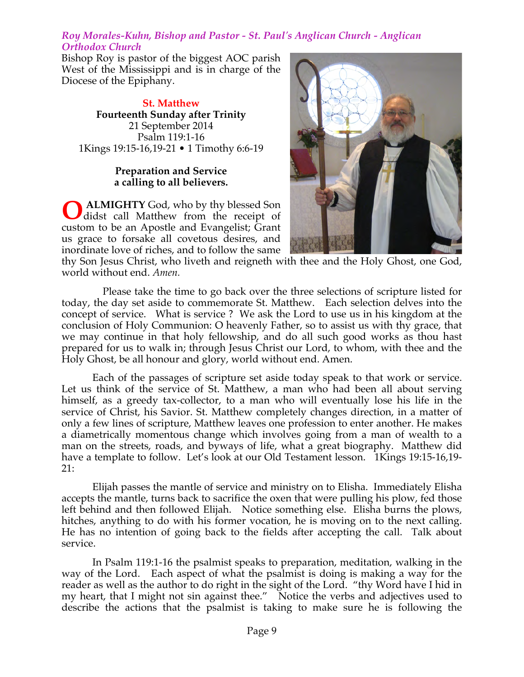#### *Roy Morales-Kuhn, Bishop and Pastor - St. Paul's Anglican Church - Anglican Orthodox Church*

Bishop Roy is pastor of the biggest AOC parish West of the Mississippi and is in charge of the Diocese of the Epiphany.

**St. Matthew Fourteenth Sunday after Trinity** 21 September 2014 Psalm 119:1-16 1Kings 19:15-16,19-21 • 1 Timothy 6:6-19

#### **Preparation and Service a calling to all believers.**

 **ALMIGHTY** God, who by thy blessed Son didst call Matthew from the receipt of custom to be an Apostle and Evangelist; Grant us grace to forsake all covetous desires, and inordinate love of riches, and to follow the same **O**



thy Son Jesus Christ, who liveth and reigneth with thee and the Holy Ghost, one God, world without end. *Amen.*

 Please take the time to go back over the three selections of scripture listed for today, the day set aside to commemorate St. Matthew. Each selection delves into the concept of service. What is service ? We ask the Lord to use us in his kingdom at the conclusion of Holy Communion: O heavenly Father, so to assist us with thy grace, that we may continue in that holy fellowship, and do all such good works as thou hast prepared for us to walk in; through Jesus Christ our Lord, to whom, with thee and the Holy Ghost, be all honour and glory, world without end. Amen.

Each of the passages of scripture set aside today speak to that work or service. Let us think of the service of St. Matthew, a man who had been all about serving himself, as a greedy tax-collector, to a man who will eventually lose his life in the service of Christ, his Savior. St. Matthew completely changes direction, in a matter of only a few lines of scripture, Matthew leaves one profession to enter another. He makes a diametrically momentous change which involves going from a man of wealth to a man on the streets, roads, and byways of life, what a great biography. Matthew did have a template to follow. Let's look at our Old Testament lesson. IKings 19:15-16,19-21:

Elijah passes the mantle of service and ministry on to Elisha. Immediately Elisha accepts the mantle, turns back to sacrifice the oxen that were pulling his plow, fed those left behind and then followed Elijah. Notice something else. Elisha burns the plows, hitches, anything to do with his former vocation, he is moving on to the next calling. He has no intention of going back to the fields after accepting the call. Talk about service.

In Psalm 119:1-16 the psalmist speaks to preparation, meditation, walking in the way of the Lord. Each aspect of what the psalmist is doing is making a way for the reader as well as the author to do right in the sight of the Lord. "thy Word have I hid in my heart, that I might not sin against thee." Notice the verbs and adjectives used to describe the actions that the psalmist is taking to make sure he is following the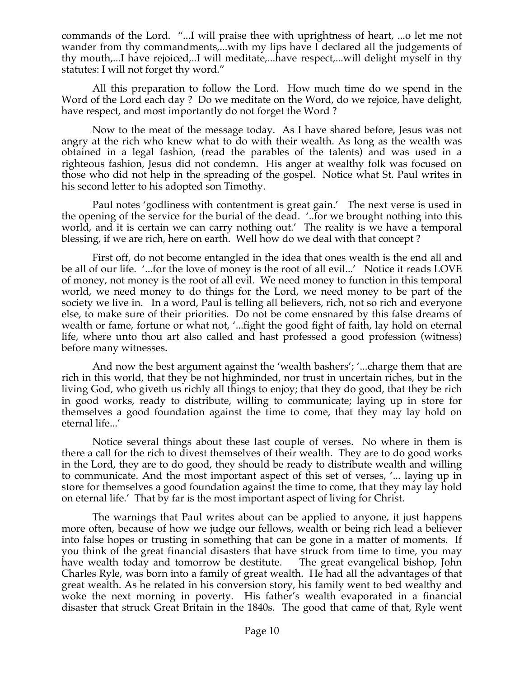commands of the Lord. "...I will praise thee with uprightness of heart, ...o let me not wander from thy commandments,...with my lips have I declared all the judgements of thy mouth,...I have rejoiced,..I will meditate,...have respect,...will delight myself in thy statutes: I will not forget thy word."

All this preparation to follow the Lord. How much time do we spend in the Word of the Lord each day ? Do we meditate on the Word, do we rejoice, have delight, have respect, and most importantly do not forget the Word ?

Now to the meat of the message today. As I have shared before, Jesus was not angry at the rich who knew what to do with their wealth. As long as the wealth was obtained in a legal fashion, (read the parables of the talents) and was used in a righteous fashion, Jesus did not condemn. His anger at wealthy folk was focused on those who did not help in the spreading of the gospel. Notice what St. Paul writes in his second letter to his adopted son Timothy.

Paul notes 'godliness with contentment is great gain.' The next verse is used in the opening of the service for the burial of the dead. '..for we brought nothing into this world, and it is certain we can carry nothing out.' The reality is we have a temporal blessing, if we are rich, here on earth. Well how do we deal with that concept ?

First off, do not become entangled in the idea that ones wealth is the end all and be all of our life. '...for the love of money is the root of all evil...' Notice it reads LOVE of money, not money is the root of all evil. We need money to function in this temporal world, we need money to do things for the Lord, we need money to be part of the society we live in. In a word, Paul is telling all believers, rich, not so rich and everyone else, to make sure of their priorities. Do not be come ensnared by this false dreams of wealth or fame, fortune or what not, '...fight the good fight of faith, lay hold on eternal life, where unto thou art also called and hast professed a good profession (witness) before many witnesses.

And now the best argument against the 'wealth bashers'; '...charge them that are rich in this world, that they be not highminded, nor trust in uncertain riches, but in the living God, who giveth us richly all things to enjoy; that they do good, that they be rich in good works, ready to distribute, willing to communicate; laying up in store for themselves a good foundation against the time to come, that they may lay hold on eternal life...'

Notice several things about these last couple of verses. No where in them is there a call for the rich to divest themselves of their wealth. They are to do good works in the Lord, they are to do good, they should be ready to distribute wealth and willing to communicate. And the most important aspect of this set of verses, '... laying up in store for themselves a good foundation against the time to come, that they may lay hold on eternal life.' That by far is the most important aspect of living for Christ.

The warnings that Paul writes about can be applied to anyone, it just happens more often, because of how we judge our fellows, wealth or being rich lead a believer into false hopes or trusting in something that can be gone in a matter of moments. If you think of the great financial disasters that have struck from time to time, you may have wealth today and tomorrow be destitute. The great evangelical bishop, John Charles Ryle, was born into a family of great wealth. He had all the advantages of that great wealth. As he related in his conversion story, his family went to bed wealthy and woke the next morning in poverty. His father's wealth evaporated in a financial disaster that struck Great Britain in the 1840s. The good that came of that, Ryle went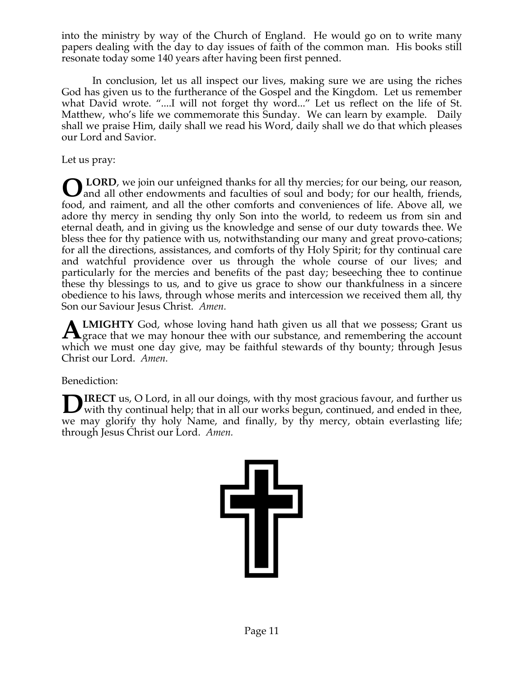into the ministry by way of the Church of England. He would go on to write many papers dealing with the day to day issues of faith of the common man. His books still resonate today some 140 years after having been first penned.

In conclusion, let us all inspect our lives, making sure we are using the riches God has given us to the furtherance of the Gospel and the Kingdom. Let us remember what David wrote. "....I will not forget thy word..." Let us reflect on the life of St. Matthew, who's life we commemorate this Sunday. We can learn by example. Daily shall we praise Him, daily shall we read his Word, daily shall we do that which pleases our Lord and Savior.

Let us pray:

**LORD**, we join our unfeigned thanks for all thy mercies; for our being, our reason, **O** LORD, we join our unfeigned thanks for all thy mercies; for our being, our reason, and all other endowments and faculties of soul and body; for our health, friends, food, and raiment, and all the other comforts and conveniences of life. Above all, we adore thy mercy in sending thy only Son into the world, to redeem us from sin and eternal death, and in giving us the knowledge and sense of our duty towards thee. We bless thee for thy patience with us, notwithstanding our many and great provo-cations; for all the directions, assistances, and comforts of thy Holy Spirit; for thy continual care and watchful providence over us through the whole course of our lives; and particularly for the mercies and benefits of the past day; beseeching thee to continue these thy blessings to us, and to give us grace to show our thankfulness in a sincere obedience to his laws, through whose merits and intercession we received them all, thy Son our Saviour Jesus Christ. *Amen.*

**LMIGHTY** God, whose loving hand hath given us all that we possess; Grant us **ALMIGHTY** God, whose loving hand hath given us all that we possess; Grant us grace that we may honour thee with our substance, and remembering the account which we must one day give, may be faithful stewards of thy bounty; through Jesus Christ our Lord. *Amen.*

Benediction:

**IRECT** us, O Lord, in all our doings, with thy most gracious favour, and further us **DIRECT** us, O Lord, in all our doings, with thy most gracious favour, and further us with thy continual help; that in all our works begun, continued, and ended in thee, we may glorify thy holy Name, and finally, by thy mercy, obtain everlasting life; through Jesus Christ our Lord. *Amen.*

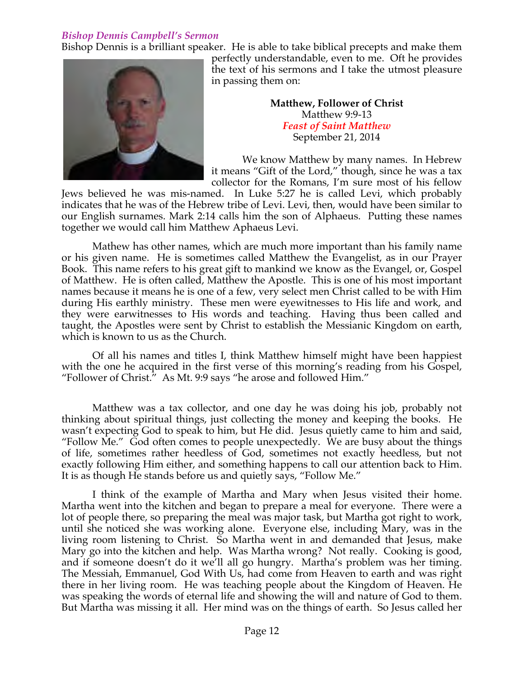### *Bishop Dennis Campbell's Sermon*

Bishop Dennis is a brilliant speaker. He is able to take biblical precepts and make them



perfectly understandable, even to me. Oft he provides the text of his sermons and I take the utmost pleasure in passing them on:

> **Matthew, Follower of Christ** Matthew 9:9-13 *Feast of Saint Matthew* September 21, 2014

 We know Matthew by many names. In Hebrew it means "Gift of the Lord," though, since he was a tax collector for the Romans, I'm sure most of his fellow

Jews believed he was mis-named. In Luke 5:27 he is called Levi, which probably indicates that he was of the Hebrew tribe of Levi. Levi, then, would have been similar to our English surnames. Mark 2:14 calls him the son of Alphaeus. Putting these names together we would call him Matthew Aphaeus Levi.

 Mathew has other names, which are much more important than his family name or his given name. He is sometimes called Matthew the Evangelist, as in our Prayer Book. This name refers to his great gift to mankind we know as the Evangel, or, Gospel of Matthew. He is often called, Matthew the Apostle. This is one of his most important names because it means he is one of a few, very select men Christ called to be with Him during His earthly ministry. These men were eyewitnesses to His life and work, and they were earwitnesses to His words and teaching. Having thus been called and taught, the Apostles were sent by Christ to establish the Messianic Kingdom on earth, which is known to us as the Church.

 Of all his names and titles I, think Matthew himself might have been happiest with the one he acquired in the first verse of this morning's reading from his Gospel, "Follower of Christ." As Mt. 9:9 says "he arose and followed Him."

 Matthew was a tax collector, and one day he was doing his job, probably not thinking about spiritual things, just collecting the money and keeping the books. He wasn't expecting God to speak to him, but He did. Jesus quietly came to him and said, "Follow Me." God often comes to people unexpectedly. We are busy about the things of life, sometimes rather heedless of God, sometimes not exactly heedless, but not exactly following Him either, and something happens to call our attention back to Him. It is as though He stands before us and quietly says, "Follow Me."

 I think of the example of Martha and Mary when Jesus visited their home. Martha went into the kitchen and began to prepare a meal for everyone. There were a lot of people there, so preparing the meal was major task, but Martha got right to work, until she noticed she was working alone. Everyone else, including Mary, was in the living room listening to Christ. So Martha went in and demanded that Jesus, make Mary go into the kitchen and help. Was Martha wrong? Not really. Cooking is good, and if someone doesn't do it we'll all go hungry. Martha's problem was her timing. The Messiah, Emmanuel, God With Us, had come from Heaven to earth and was right there in her living room. He was teaching people about the Kingdom of Heaven. He was speaking the words of eternal life and showing the will and nature of God to them. But Martha was missing it all. Her mind was on the things of earth. So Jesus called her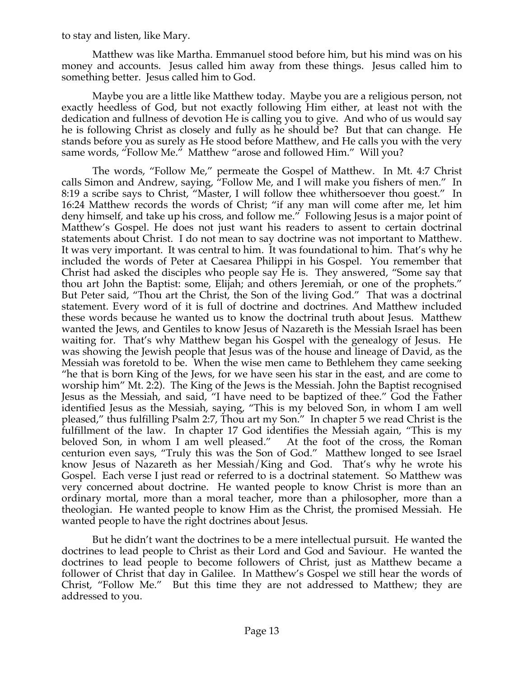to stay and listen, like Mary.

 Matthew was like Martha. Emmanuel stood before him, but his mind was on his money and accounts. Jesus called him away from these things. Jesus called him to something better. Jesus called him to God.

 Maybe you are a little like Matthew today. Maybe you are a religious person, not exactly heedless of God, but not exactly following Him either, at least not with the dedication and fullness of devotion He is calling you to give. And who of us would say he is following Christ as closely and fully as he should be? But that can change. He stands before you as surely as He stood before Matthew, and He calls you with the very same words, "Follow Me." Matthew "arose and followed Him." Will you?

 The words, "Follow Me," permeate the Gospel of Matthew. In Mt. 4:7 Christ calls Simon and Andrew, saying,  $i$ Follow Me, and  $\dot{\Gamma}$  will make you fishers of men." In 8:19 a scribe says to Christ, "Master, I will follow thee whithersoever thou goest." In 16:24 Matthew records the words of Christ; "if any man will come after me, let him deny himself, and take up his cross, and follow me." Following Jesus is a major point of Matthew's Gospel. He does not just want his readers to assent to certain doctrinal statements about Christ. I do not mean to say doctrine was not important to Matthew. It was very important. It was central to him. It was foundational to him. That's why he included the words of Peter at Caesarea Philippi in his Gospel. You remember that Christ had asked the disciples who people say He is. They answered, "Some say that thou art John the Baptist: some, Elijah; and others Jeremiah, or one of the prophets." But Peter said, "Thou art the Christ, the Son of the living God." That was a doctrinal statement. Every word of it is full of doctrine and doctrines. And Matthew included these words because he wanted us to know the doctrinal truth about Jesus. Matthew wanted the Jews, and Gentiles to know Jesus of Nazareth is the Messiah Israel has been waiting for. That's why Matthew began his Gospel with the genealogy of Jesus. He was showing the Jewish people that Jesus was of the house and lineage of David, as the Messiah was foretold to be. When the wise men came to Bethlehem they came seeking "he that is born King of the Jews, for we have seen his star in the east, and are come to worship him" Mt. 2:2). The King of the Jews is the Messiah. John the Baptist recognised Jesus as the Messiah, and said, "I have need to be baptized of thee." God the Father identified Jesus as the Messiah, saying, "This is my beloved Son, in whom I am well pleased," thus fulfilling Psalm 2:7, Thou art my Son." In chapter 5 we read Christ is the fulfillment of the law. In chapter 17 God identifies the Messiah again, "This is my beloved Son, in whom I am well pleased." At the foot of the cross, the Roman beloved Son, in whom I am well pleased." centurion even says, "Truly this was the Son of God." Matthew longed to see Israel know Jesus of Nazareth as her Messiah/King and God. That's why he wrote his Gospel. Each verse I just read or referred to is a doctrinal statement. So Matthew was very concerned about doctrine. He wanted people to know Christ is more than an ordinary mortal, more than a moral teacher, more than a philosopher, more than a theologian. He wanted people to know Him as the Christ, the promised Messiah. He wanted people to have the right doctrines about Jesus.

 But he didn't want the doctrines to be a mere intellectual pursuit. He wanted the doctrines to lead people to Christ as their Lord and God and Saviour. He wanted the doctrines to lead people to become followers of Christ, just as Matthew became a follower of Christ that day in Galilee. In Matthew's Gospel we still hear the words of Christ, "Follow Me." But this time they are not addressed to Matthew; they are addressed to you.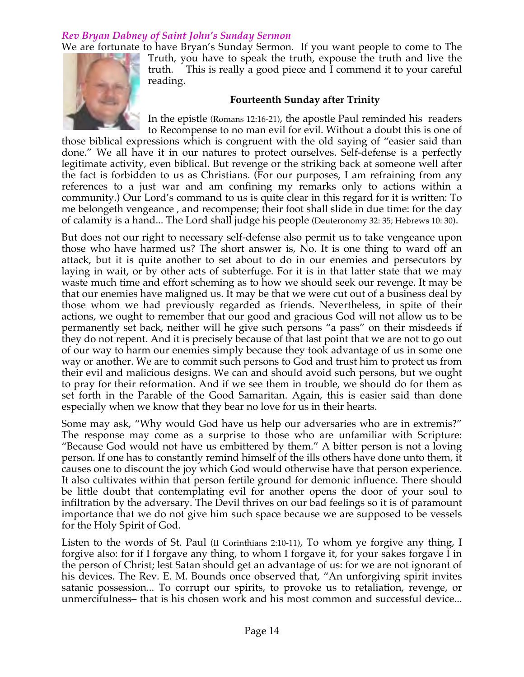# *Rev Bryan Dabney of Saint John's Sunday Sermon*

We are fortunate to have Bryan's Sunday Sermon. If you want people to come to The



Truth, you have to speak the truth, expouse the truth and live the truth. This is really a good piece and I commend it to your careful reading.

#### **Fourteenth Sunday after Trinity**

In the epistle (Romans 12:16-21), the apostle Paul reminded his readers to Recompense to no man evil for evil. Without a doubt this is one of

those biblical expressions which is congruent with the old saying of "easier said than done." We all have it in our natures to protect ourselves. Self-defense is a perfectly legitimate activity, even biblical. But revenge or the striking back at someone well after the fact is forbidden to us as Christians. (For our purposes, I am refraining from any references to a just war and am confining my remarks only to actions within a community.) Our Lord's command to us is quite clear in this regard for it is written: To me belongeth vengeance , and recompense; their foot shall slide in due time: for the day of calamity is a hand... The Lord shall judge his people (Deuteronomy 32: 35; Hebrews 10: 30).

But does not our right to necessary self-defense also permit us to take vengeance upon those who have harmed us? The short answer is, No. It is one thing to ward off an attack, but it is quite another to set about to do in our enemies and persecutors by laying in wait, or by other acts of subterfuge. For it is in that latter state that we may waste much time and effort scheming as to how we should seek our revenge. It may be that our enemies have maligned us. It may be that we were cut out of a business deal by those whom we had previously regarded as friends. Nevertheless, in spite of their actions, we ought to remember that our good and gracious God will not allow us to be permanently set back, neither will he give such persons "a pass" on their misdeeds if they do not repent. And it is precisely because of that last point that we are not to go out of our way to harm our enemies simply because they took advantage of us in some one way or another. We are to commit such persons to God and trust him to protect us from their evil and malicious designs. We can and should avoid such persons, but we ought to pray for their reformation. And if we see them in trouble, we should do for them as set forth in the Parable of the Good Samaritan. Again, this is easier said than done especially when we know that they bear no love for us in their hearts.

Some may ask, "Why would God have us help our adversaries who are in extremis?" The response may come as a surprise to those who are unfamiliar with Scripture: "Because God would not have us embittered by them." A bitter person is not a loving person. If one has to constantly remind himself of the ills others have done unto them, it causes one to discount the joy which God would otherwise have that person experience. It also cultivates within that person fertile ground for demonic influence. There should be little doubt that contemplating evil for another opens the door of your soul to infiltration by the adversary. The Devil thrives on our bad feelings so it is of paramount importance that we do not give him such space because we are supposed to be vessels for the Holy Spirit of God.

Listen to the words of St. Paul (II Corinthians 2:10-11), To whom ye forgive any thing, I forgive also: for if I forgave any thing, to whom I forgave it, for your sakes forgave I in the person of Christ; lest Satan should get an advantage of us: for we are not ignorant of his devices. The Rev. E. M. Bounds once observed that, "An unforgiving spirit invites satanic possession... To corrupt our spirits, to provoke us to retaliation, revenge, or unmercifulness– that is his chosen work and his most common and successful device...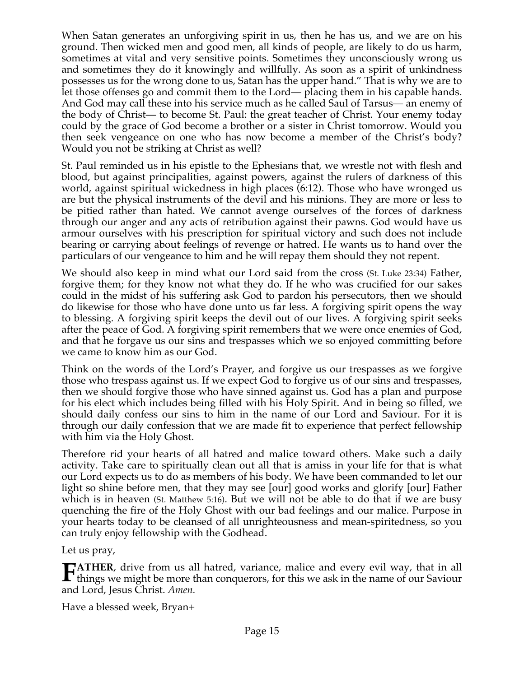When Satan generates an unforgiving spirit in us, then he has us, and we are on his ground. Then wicked men and good men, all kinds of people, are likely to do us harm, sometimes at vital and very sensitive points. Sometimes they unconsciously wrong us and sometimes they do it knowingly and willfully. As soon as a spirit of unkindness possesses us for the wrong done to us, Satan has the upper hand." That is why we are to let those offenses go and commit them to the Lord— placing them in his capable hands. And God may call these into his service much as he called Saul of Tarsus— an enemy of the body of Christ— to become St. Paul: the great teacher of Christ. Your enemy today could by the grace of God become a brother or a sister in Christ tomorrow. Would you then seek vengeance on one who has now become a member of the Christ's body? Would you not be striking at Christ as well?

St. Paul reminded us in his epistle to the Ephesians that, we wrestle not with flesh and blood, but against principalities, against powers, against the rulers of darkness of this world, against spiritual wickedness in high places (6:12). Those who have wronged us are but the physical instruments of the devil and his minions. They are more or less to be pitied rather than hated. We cannot avenge ourselves of the forces of darkness through our anger and any acts of retribution against their pawns. God would have us armour ourselves with his prescription for spiritual victory and such does not include bearing or carrying about feelings of revenge or hatred. He wants us to hand over the particulars of our vengeance to him and he will repay them should they not repent.

We should also keep in mind what our Lord said from the cross (St. Luke 23:34) Father, forgive them; for they know not what they do. If he who was crucified for our sakes could in the midst of his suffering ask God to pardon his persecutors, then we should do likewise for those who have done unto us far less. A forgiving spirit opens the way to blessing. A forgiving spirit keeps the devil out of our lives. A forgiving spirit seeks after the peace of God. A forgiving spirit remembers that we were once enemies of God, and that he forgave us our sins and trespasses which we so enjoyed committing before we came to know him as our God.

Think on the words of the Lord's Prayer, and forgive us our trespasses as we forgive those who trespass against us. If we expect God to forgive us of our sins and trespasses, then we should forgive those who have sinned against us. God has a plan and purpose for his elect which includes being filled with his Holy Spirit. And in being so filled, we should daily confess our sins to him in the name of our Lord and Saviour. For it is through our daily confession that we are made fit to experience that perfect fellowship with him via the Holy Ghost.

Therefore rid your hearts of all hatred and malice toward others. Make such a daily activity. Take care to spiritually clean out all that is amiss in your life for that is what our Lord expects us to do as members of his body. We have been commanded to let our light so shine before men, that they may see [our] good works and glorify [our] Father which is in heaven (St. Matthew 5:16). But we will not be able to do that if we are busy quenching the fire of the Holy Ghost with our bad feelings and our malice. Purpose in your hearts today to be cleansed of all unrighteousness and mean-spiritedness, so you can truly enjoy fellowship with the Godhead.

Let us pray,

**ATHER**, drive from us all hatred, variance, malice and every evil way, that in all **TATHER**, drive from us all hatred, variance, malice and every evil way, that in all things we might be more than conquerors, for this we ask in the name of our Saviour and Lord, Jesus Christ. *Amen.*

Have a blessed week, Bryan+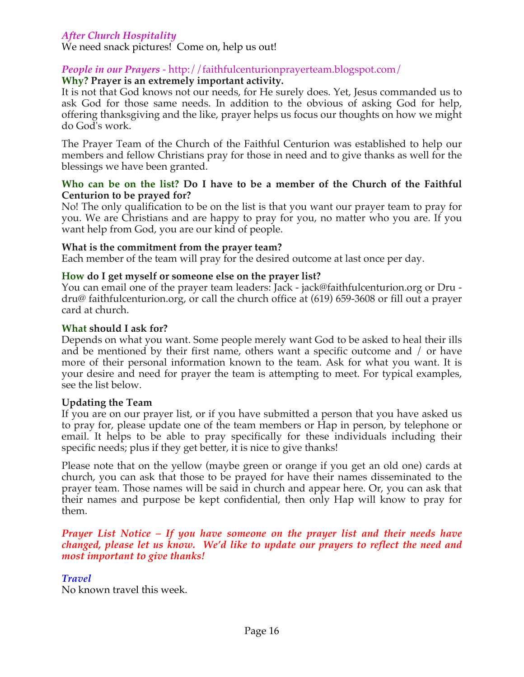# *After Church Hospitality*

We need snack pictures! Come on, help us out!

# *People in our Prayers* - http://faithfulcenturionprayerteam.blogspot.com/

### **Why? Prayer is an extremely important activity.**

It is not that God knows not our needs, for He surely does. Yet, Jesus commanded us to ask God for those same needs. In addition to the obvious of asking God for help, offering thanksgiving and the like, prayer helps us focus our thoughts on how we might do God's work.

The Prayer Team of the Church of the Faithful Centurion was established to help our members and fellow Christians pray for those in need and to give thanks as well for the blessings we have been granted.

#### **Who can be on the list? Do I have to be a member of the Church of the Faithful Centurion to be prayed for?**

No! The only qualification to be on the list is that you want our prayer team to pray for you. We are Christians and are happy to pray for you, no matter who you are. If you want help from God, you are our kind of people.

#### **What is the commitment from the prayer team?**

Each member of the team will pray for the desired outcome at last once per day.

#### **How do I get myself or someone else on the prayer list?**

You can email one of the prayer team leaders: Jack - jack@faithfulcenturion.org or Dru dru@ faithfulcenturion.org, or call the church office at (619) 659-3608 or fill out a prayer card at church.

#### **What should I ask for?**

Depends on what you want. Some people merely want God to be asked to heal their ills and be mentioned by their first name, others want a specific outcome and / or have more of their personal information known to the team. Ask for what you want. It is your desire and need for prayer the team is attempting to meet. For typical examples, see the list below.

#### **Updating the Team**

If you are on our prayer list, or if you have submitted a person that you have asked us to pray for, please update one of the team members or Hap in person, by telephone or email. It helps to be able to pray specifically for these individuals including their specific needs; plus if they get better, it is nice to give thanks!

Please note that on the yellow (maybe green or orange if you get an old one) cards at church, you can ask that those to be prayed for have their names disseminated to the prayer team. Those names will be said in church and appear here. Or, you can ask that their names and purpose be kept confidential, then only Hap will know to pray for them.

#### *Prayer List Notice – If you have someone on the prayer list and their needs have changed, please let us know. We'd like to update our prayers to reflect the need and most important to give thanks!*

# *Travel*

No known travel this week.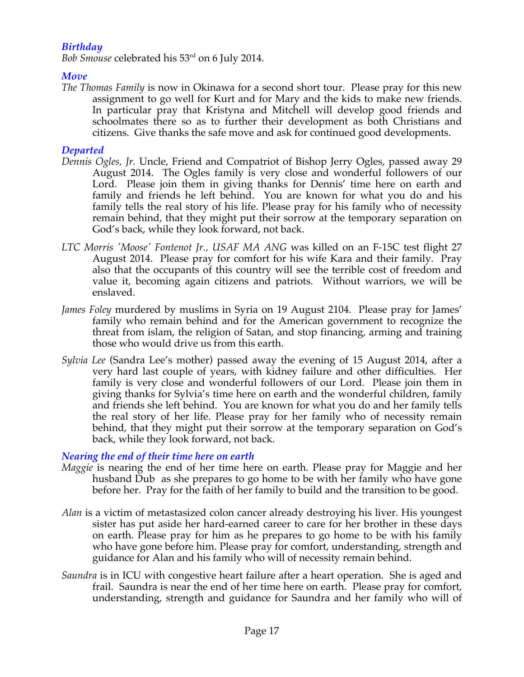# *Birthday*

*Bob Smouse* celebrated his 53rd on 6 July 2014.

#### *Move*

*The Thomas Family* is now in Okinawa for a second short tour. Please pray for this new assignment to go well for Kurt and for Mary and the kids to make new friends. In particular pray that Kristyna and Mitchell will develop good friends and schoolmates there so as to further their development as both Christians and citizens. Give thanks the safe move and ask for continued good developments.

#### *Departed*

- *Dennis Ogles, Jr.* Uncle, Friend and Compatriot of Bishop Jerry Ogles, passed away 29 August 2014. The Ogles family is very close and wonderful followers of our Lord. Please join them in giving thanks for Dennis' time here on earth and family and friends he left behind. You are known for what you do and his family tells the real story of his life. Please pray for his family who of necessity remain behind, that they might put their sorrow at the temporary separation on God's back, while they look forward, not back.
- *LTC Morris 'Moose' Fontenot Jr., USAF MA ANG* was killed on an F-15C test flight 27 August 2014. Please pray for comfort for his wife Kara and their family. Pray also that the occupants of this country will see the terrible cost of freedom and value it, becoming again citizens and patriots. Without warriors, we will be enslaved.
- *James Foley* murdered by muslims in Syria on 19 August 2104. Please pray for James' family who remain behind and for the American government to recognize the threat from islam, the religion of Satan, and stop financing, arming and training those who would drive us from this earth.
- *Sylvia Lee* (Sandra Lee's mother) passed away the evening of 15 August 2014, after a very hard last couple of years, with kidney failure and other difficulties. Her family is very close and wonderful followers of our Lord. Please join them in giving thanks for Sylvia's time here on earth and the wonderful children, family and friends she left behind. You are known for what you do and her family tells the real story of her life. Please pray for her family who of necessity remain behind, that they might put their sorrow at the temporary separation on God's back, while they look forward, not back.

#### *Nearing the end of their time here on earth*

- *Maggie* is nearing the end of her time here on earth. Please pray for Maggie and her husband Dub as she prepares to go home to be with her family who have gone before her. Pray for the faith of her family to build and the transition to be good.
- *Alan* is a victim of metastasized colon cancer already destroying his liver. His youngest sister has put aside her hard-earned career to care for her brother in these days on earth. Please pray for him as he prepares to go home to be with his family who have gone before him. Please pray for comfort, understanding, strength and guidance for Alan and his family who will of necessity remain behind.
- *Saundra* is in ICU with congestive heart failure after a heart operation. She is aged and frail. Saundra is near the end of her time here on earth. Please pray for comfort, understanding, strength and guidance for Saundra and her family who will of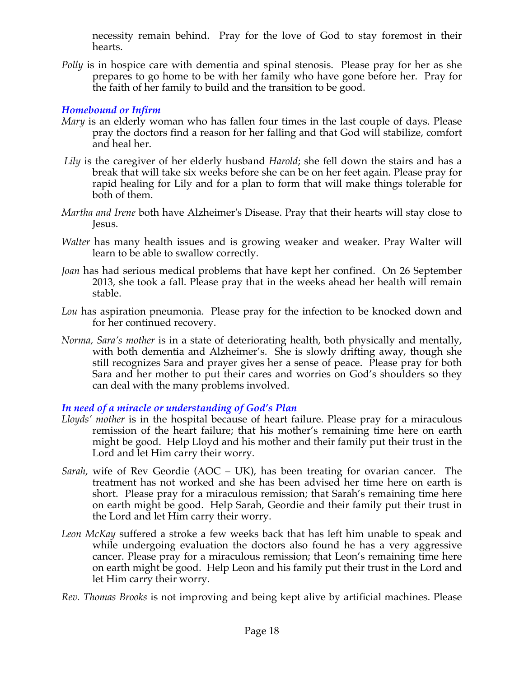necessity remain behind. Pray for the love of God to stay foremost in their hearts.

*Polly* is in hospice care with dementia and spinal stenosis. Please pray for her as she prepares to go home to be with her family who have gone before her. Pray for the faith of her family to build and the transition to be good.

# *Homebound or Infirm*

- *Mary* is an elderly woman who has fallen four times in the last couple of days. Please pray the doctors find a reason for her falling and that God will stabilize, comfort and heal her.
- *Lily* is the caregiver of her elderly husband *Harold*; she fell down the stairs and has a break that will take six weeks before she can be on her feet again. Please pray for rapid healing for Lily and for a plan to form that will make things tolerable for both of them.
- *Martha and Irene* both have Alzheimer's Disease. Pray that their hearts will stay close to Jesus.
- *Walter* has many health issues and is growing weaker and weaker. Pray Walter will learn to be able to swallow correctly.
- *Joan* has had serious medical problems that have kept her confined. On 26 September 2013, she took a fall. Please pray that in the weeks ahead her health will remain stable.
- *Lou* has aspiration pneumonia. Please pray for the infection to be knocked down and for her continued recovery.
- *Norma, Sara's mother* is in a state of deteriorating health, both physically and mentally, with both dementia and Alzheimer's. She is slowly drifting away, though she still recognizes Sara and prayer gives her a sense of peace. Please pray for both Sara and her mother to put their cares and worries on God's shoulders so they can deal with the many problems involved.

# *In need of a miracle or understanding of God's Plan*

- *Lloyds' mother* is in the hospital because of heart failure. Please pray for a miraculous remission of the heart failure; that his mother's remaining time here on earth might be good. Help Lloyd and his mother and their family put their trust in the Lord and let Him carry their worry.
- *Sarah,* wife of Rev Geordie (AOC UK), has been treating for ovarian cancer. The treatment has not worked and she has been advised her time here on earth is short. Please pray for a miraculous remission; that Sarah's remaining time here on earth might be good. Help Sarah, Geordie and their family put their trust in the Lord and let Him carry their worry.
- *Leon McKay* suffered a stroke a few weeks back that has left him unable to speak and while undergoing evaluation the doctors also found he has a very aggressive cancer. Please pray for a miraculous remission; that Leon's remaining time here on earth might be good. Help Leon and his family put their trust in the Lord and let Him carry their worry.

*Rev. Thomas Brooks* is not improving and being kept alive by artificial machines. Please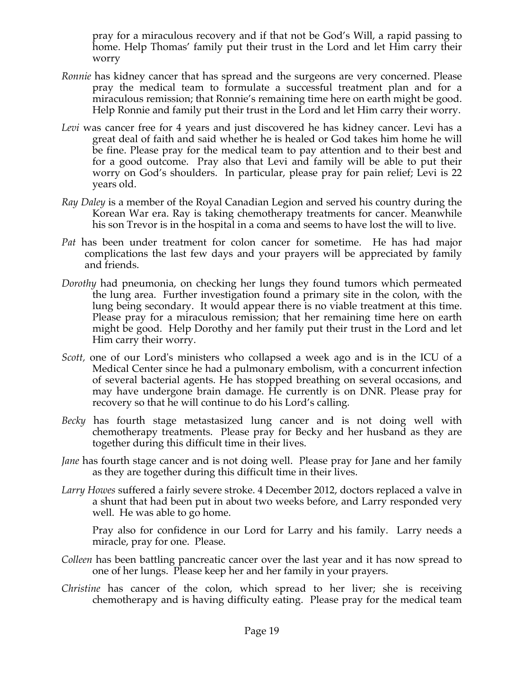pray for a miraculous recovery and if that not be God's Will, a rapid passing to home. Help Thomas' family put their trust in the Lord and let Him carry their worry

- *Ronnie* has kidney cancer that has spread and the surgeons are very concerned. Please pray the medical team to formulate a successful treatment plan and for a miraculous remission; that Ronnie's remaining time here on earth might be good. Help Ronnie and family put their trust in the Lord and let Him carry their worry.
- *Levi* was cancer free for 4 years and just discovered he has kidney cancer. Levi has a great deal of faith and said whether he is healed or God takes him home he will be fine. Please pray for the medical team to pay attention and to their best and for a good outcome. Pray also that Levi and family will be able to put their worry on God's shoulders. In particular, please pray for pain relief; Levi is 22 years old.
- *Ray Daley* is a member of the Royal Canadian Legion and served his country during the Korean War era. Ray is taking chemotherapy treatments for cancer. Meanwhile his son Trevor is in the hospital in a coma and seems to have lost the will to live.
- *Pat* has been under treatment for colon cancer for sometime. He has had major complications the last few days and your prayers will be appreciated by family and friends.
- *Dorothy* had pneumonia, on checking her lungs they found tumors which permeated the lung area. Further investigation found a primary site in the colon, with the lung being secondary. It would appear there is no viable treatment at this time. Please pray for a miraculous remission; that her remaining time here on earth might be good. Help Dorothy and her family put their trust in the Lord and let Him carry their worry.
- *Scott,* one of our Lord's ministers who collapsed a week ago and is in the ICU of a Medical Center since he had a pulmonary embolism, with a concurrent infection of several bacterial agents. He has stopped breathing on several occasions, and may have undergone brain damage. He currently is on DNR. Please pray for recovery so that he will continue to do his Lord's calling*.*
- *Becky* has fourth stage metastasized lung cancer and is not doing well with chemotherapy treatments. Please pray for Becky and her husband as they are together during this difficult time in their lives.
- *Jane* has fourth stage cancer and is not doing well. Please pray for Jane and her family as they are together during this difficult time in their lives.
- *Larry Howes* suffered a fairly severe stroke. 4 December 2012, doctors replaced a valve in a shunt that had been put in about two weeks before, and Larry responded very well. He was able to go home.

Pray also for confidence in our Lord for Larry and his family. Larry needs a miracle, pray for one. Please.

- *Colleen* has been battling pancreatic cancer over the last year and it has now spread to one of her lungs. Please keep her and her family in your prayers.
- *Christine* has cancer of the colon, which spread to her liver; she is receiving chemotherapy and is having difficulty eating. Please pray for the medical team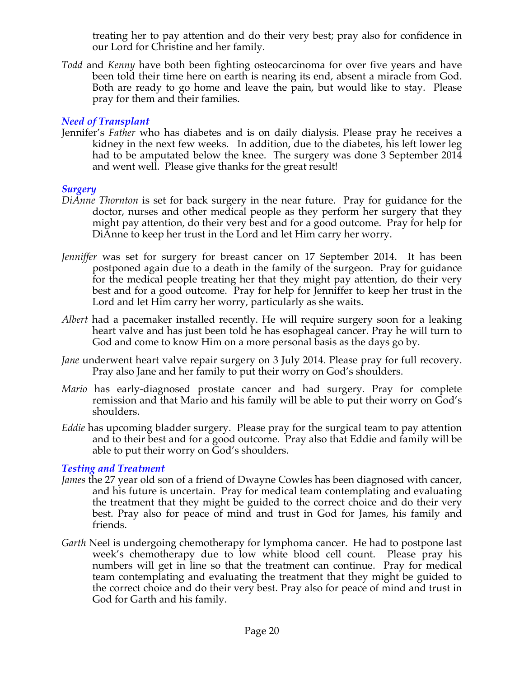treating her to pay attention and do their very best; pray also for confidence in our Lord for Christine and her family.

*Todd* and *Kenny* have both been fighting osteocarcinoma for over five years and have been told their time here on earth is nearing its end, absent a miracle from God. Both are ready to go home and leave the pain, but would like to stay. Please pray for them and their families.

### *Need of Transplant*

Jennifer's *Father* who has diabetes and is on daily dialysis. Please pray he receives a kidney in the next few weeks. In addition, due to the diabetes, his left lower leg had to be amputated below the knee. The surgery was done 3 September 2014 and went well. Please give thanks for the great result!

### *Surgery*

- *DiAnne Thornton* is set for back surgery in the near future. Pray for guidance for the doctor, nurses and other medical people as they perform her surgery that they might pay attention, do their very best and for a good outcome. Pray for help for DiAnne to keep her trust in the Lord and let Him carry her worry.
- *Jenniffer* was set for surgery for breast cancer on 17 September 2014. It has been postponed again due to a death in the family of the surgeon. Pray for guidance for the medical people treating her that they might pay attention, do their very best and for a good outcome. Pray for help for Jenniffer to keep her trust in the Lord and let Him carry her worry, particularly as she waits.
- *Albert* had a pacemaker installed recently. He will require surgery soon for a leaking heart valve and has just been told he has esophageal cancer. Pray he will turn to God and come to know Him on a more personal basis as the days go by.
- *Jane* underwent heart valve repair surgery on 3 July 2014. Please pray for full recovery. Pray also Jane and her family to put their worry on God's shoulders.
- *Mario* has early-diagnosed prostate cancer and had surgery. Pray for complete remission and that Mario and his family will be able to put their worry on God's shoulders.
- *Eddie* has upcoming bladder surgery. Please pray for the surgical team to pay attention and to their best and for a good outcome. Pray also that Eddie and family will be able to put their worry on God's shoulders.

#### *Testing and Treatment*

- *James* the 27 year old son of a friend of Dwayne Cowles has been diagnosed with cancer, and his future is uncertain. Pray for medical team contemplating and evaluating the treatment that they might be guided to the correct choice and do their very best. Pray also for peace of mind and trust in God for James, his family and friends.
- *Garth* Neel is undergoing chemotherapy for lymphoma cancer. He had to postpone last week's chemotherapy due to low white blood cell count. Please pray his numbers will get in line so that the treatment can continue. Pray for medical team contemplating and evaluating the treatment that they might be guided to the correct choice and do their very best. Pray also for peace of mind and trust in God for Garth and his family.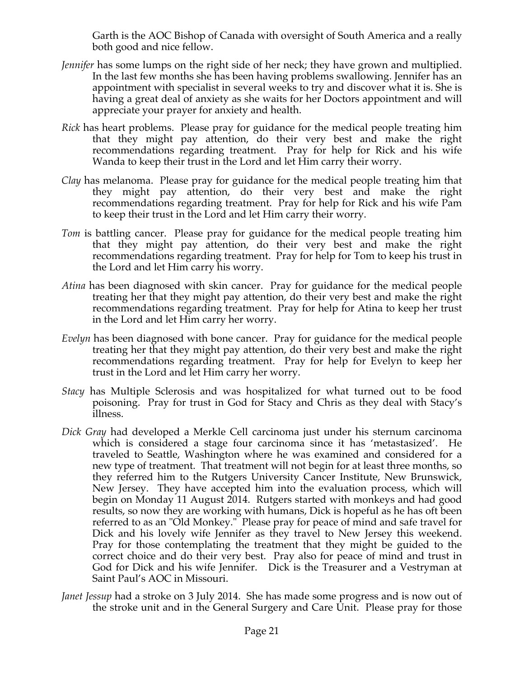Garth is the AOC Bishop of Canada with oversight of South America and a really both good and nice fellow.

- Jennifer has some lumps on the right side of her neck; they have grown and multiplied. In the last few months she has been having problems swallowing. Jennifer has an appointment with specialist in several weeks to try and discover what it is. She is having a great deal of anxiety as she waits for her Doctors appointment and will appreciate your prayer for anxiety and health.
- *Rick* has heart problems. Please pray for guidance for the medical people treating him that they might pay attention, do their very best and make the right recommendations regarding treatment. Pray for help for Rick and his wife Wanda to keep their trust in the Lord and let Him carry their worry.
- *Clay* has melanoma. Please pray for guidance for the medical people treating him that they might pay attention, do their very best and make the right recommendations regarding treatment. Pray for help for Rick and his wife Pam to keep their trust in the Lord and let Him carry their worry.
- *Tom* is battling cancer. Please pray for guidance for the medical people treating him that they might pay attention, do their very best and make the right recommendations regarding treatment. Pray for help for Tom to keep his trust in the Lord and let Him carry his worry.
- *Atina* has been diagnosed with skin cancer. Pray for guidance for the medical people treating her that they might pay attention, do their very best and make the right recommendations regarding treatment. Pray for help for Atina to keep her trust in the Lord and let Him carry her worry.
- *Evelyn* has been diagnosed with bone cancer. Pray for guidance for the medical people treating her that they might pay attention, do their very best and make the right recommendations regarding treatment. Pray for help for Evelyn to keep her trust in the Lord and let Him carry her worry.
- *Stacy* has Multiple Sclerosis and was hospitalized for what turned out to be food poisoning. Pray for trust in God for Stacy and Chris as they deal with Stacy's illness.
- *Dick Gray* had developed a Merkle Cell carcinoma just under his sternum carcinoma which is considered a stage four carcinoma since it has 'metastasized'. He traveled to Seattle, Washington where he was examined and considered for a new type of treatment. That treatment will not begin for at least three months, so they referred him to the Rutgers University Cancer Institute, New Brunswick, New Jersey. They have accepted him into the evaluation process, which will begin on Monday 11 August 2014. Rutgers started with monkeys and had good results, so now they are working with humans, Dick is hopeful as he has oft been referred to as an "Old Monkey." Please pray for peace of mind and safe travel for Dick and his lovely wife Jennifer as they travel to New Jersey this weekend. Pray for those contemplating the treatment that they might be guided to the correct choice and do their very best. Pray also for peace of mind and trust in God for Dick and his wife Jennifer. Dick is the Treasurer and a Vestryman at Saint Paul's AOC in Missouri.
- *Janet Jessup* had a stroke on 3 July 2014. She has made some progress and is now out of the stroke unit and in the General Surgery and Care Unit. Please pray for those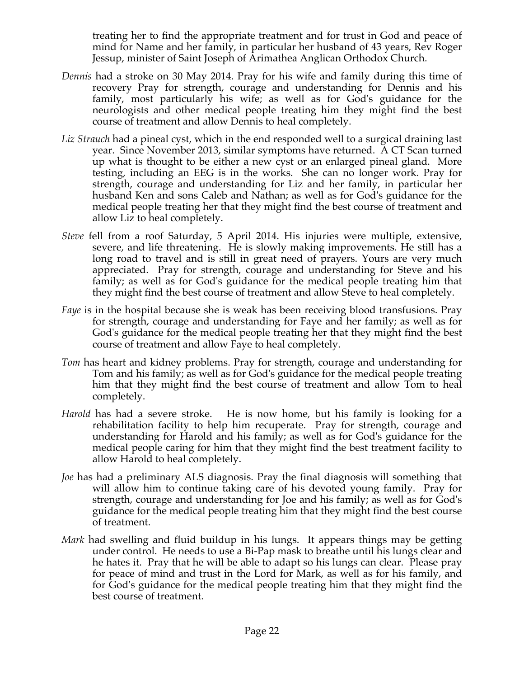treating her to find the appropriate treatment and for trust in God and peace of mind for Name and her family, in particular her husband of 43 years, Rev Roger Jessup, minister of Saint Joseph of Arimathea Anglican Orthodox Church.

- *Dennis* had a stroke on 30 May 2014. Pray for his wife and family during this time of recovery Pray for strength, courage and understanding for Dennis and his family, most particularly his wife; as well as for God's guidance for the neurologists and other medical people treating him they might find the best course of treatment and allow Dennis to heal completely.
- *Liz Strauch* had a pineal cyst, which in the end responded well to a surgical draining last year. Since November 2013, similar symptoms have returned. A CT Scan turned up what is thought to be either a new cyst or an enlarged pineal gland. More testing, including an EEG is in the works. She can no longer work. Pray for strength, courage and understanding for Liz and her family, in particular her husband Ken and sons Caleb and Nathan; as well as for God's guidance for the medical people treating her that they might find the best course of treatment and allow Liz to heal completely.
- *Steve* fell from a roof Saturday, 5 April 2014. His injuries were multiple, extensive, severe, and life threatening. He is slowly making improvements. He still has a long road to travel and is still in great need of prayers. Yours are very much appreciated. Pray for strength, courage and understanding for Steve and his family; as well as for God's guidance for the medical people treating him that they might find the best course of treatment and allow Steve to heal completely.
- *Faye* is in the hospital because she is weak has been receiving blood transfusions. Pray for strength, courage and understanding for Faye and her family; as well as for God's guidance for the medical people treating her that they might find the best course of treatment and allow Faye to heal completely.
- *Tom* has heart and kidney problems. Pray for strength, courage and understanding for Tom and his family; as well as for God's guidance for the medical people treating him that they might find the best course of treatment and allow Tom to heal completely.
- *Harold* has had a severe stroke. He is now home, but his family is looking for a rehabilitation facility to help him recuperate. Pray for strength, courage and understanding for Harold and his family; as well as for God's guidance for the medical people caring for him that they might find the best treatment facility to allow Harold to heal completely.
- *Joe* has had a preliminary ALS diagnosis. Pray the final diagnosis will something that will allow him to continue taking care of his devoted young family. Pray for strength, courage and understanding for Joe and his family; as well as for God's guidance for the medical people treating him that they might find the best course of treatment.
- *Mark* had swelling and fluid buildup in his lungs. It appears things may be getting under control. He needs to use a Bi-Pap mask to breathe until his lungs clear and he hates it. Pray that he will be able to adapt so his lungs can clear. Please pray for peace of mind and trust in the Lord for Mark, as well as for his family, and for God's guidance for the medical people treating him that they might find the best course of treatment.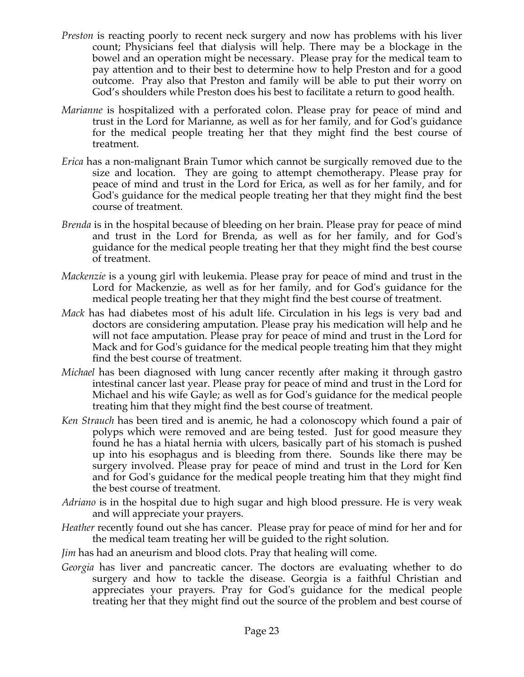- *Preston* is reacting poorly to recent neck surgery and now has problems with his liver count; Physicians feel that dialysis will help. There may be a blockage in the bowel and an operation might be necessary. Please pray for the medical team to pay attention and to their best to determine how to help Preston and for a good outcome. Pray also that Preston and family will be able to put their worry on God's shoulders while Preston does his best to facilitate a return to good health.
- *Marianne* is hospitalized with a perforated colon. Please pray for peace of mind and trust in the Lord for Marianne, as well as for her family, and for God's guidance for the medical people treating her that they might find the best course of treatment.
- *Erica* has a non-malignant Brain Tumor which cannot be surgically removed due to the size and location. They are going to attempt chemotherapy. Please pray for peace of mind and trust in the Lord for Erica, as well as for her family, and for God's guidance for the medical people treating her that they might find the best course of treatment.
- *Brenda* is in the hospital because of bleeding on her brain. Please pray for peace of mind and trust in the Lord for Brenda, as well as for her family, and for God's guidance for the medical people treating her that they might find the best course of treatment.
- *Mackenzie* is a young girl with leukemia. Please pray for peace of mind and trust in the Lord for Mackenzie, as well as for her family, and for God's guidance for the medical people treating her that they might find the best course of treatment.
- *Mack* has had diabetes most of his adult life. Circulation in his legs is very bad and doctors are considering amputation. Please pray his medication will help and he will not face amputation. Please pray for peace of mind and trust in the Lord for Mack and for God's guidance for the medical people treating him that they might find the best course of treatment.
- *Michael* has been diagnosed with lung cancer recently after making it through gastro intestinal cancer last year. Please pray for peace of mind and trust in the Lord for Michael and his wife Gayle; as well as for God's guidance for the medical people treating him that they might find the best course of treatment.
- *Ken Strauch* has been tired and is anemic, he had a colonoscopy which found a pair of polyps which were removed and are being tested. Just for good measure they found he has a hiatal hernia with ulcers, basically part of his stomach is pushed up into his esophagus and is bleeding from there. Sounds like there may be surgery involved. Please pray for peace of mind and trust in the Lord for Ken and for God's guidance for the medical people treating him that they might find the best course of treatment.
- *Adriano* is in the hospital due to high sugar and high blood pressure. He is very weak and will appreciate your prayers.
- *Heather* recently found out she has cancer. Please pray for peace of mind for her and for the medical team treating her will be guided to the right solution.
- *Jim* has had an aneurism and blood clots. Pray that healing will come.
- *Georgia* has liver and pancreatic cancer. The doctors are evaluating whether to do surgery and how to tackle the disease. Georgia is a faithful Christian and appreciates your prayers. Pray for God's guidance for the medical people treating her that they might find out the source of the problem and best course of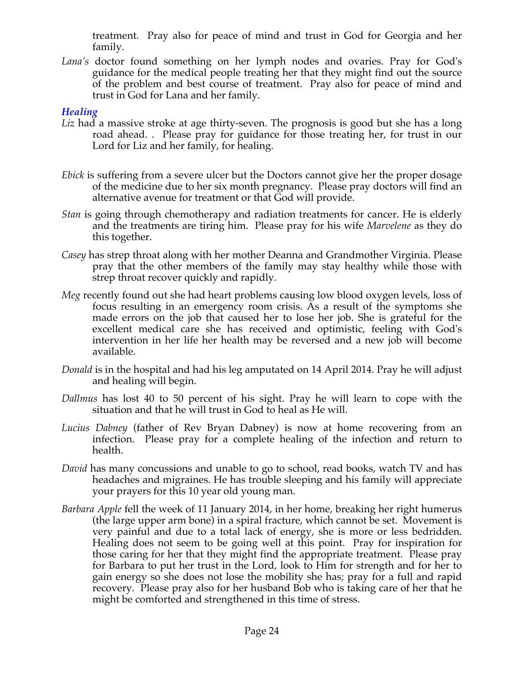treatment. Pray also for peace of mind and trust in God for Georgia and her family.

*Lana's* doctor found something on her lymph nodes and ovaries. Pray for God's guidance for the medical people treating her that they might find out the source of the problem and best course of treatment. Pray also for peace of mind and trust in God for Lana and her family.

#### *Healing*

- *Liz* had a massive stroke at age thirty-seven. The prognosis is good but she has a long road ahead. . Please pray for guidance for those treating her, for trust in our Lord for Liz and her family, for healing.
- *Ebick* is suffering from a severe ulcer but the Doctors cannot give her the proper dosage of the medicine due to her six month pregnancy. Please pray doctors will find an alternative avenue for treatment or that God will provide.
- *Stan* is going through chemotherapy and radiation treatments for cancer. He is elderly and the treatments are tiring him. Please pray for his wife *Marvelene* as they do this together.
- *Casey* has strep throat along with her mother Deanna and Grandmother Virginia. Please pray that the other members of the family may stay healthy while those with strep throat recover quickly and rapidly.
- *Meg* recently found out she had heart problems causing low blood oxygen levels, loss of focus resulting in an emergency room crisis. As a result of the symptoms she made errors on the job that caused her to lose her job. She is grateful for the excellent medical care she has received and optimistic, feeling with God's intervention in her life her health may be reversed and a new job will become available.
- *Donald* is in the hospital and had his leg amputated on 14 April 2014. Pray he will adjust and healing will begin.
- *Dallmus* has lost 40 to 50 percent of his sight. Pray he will learn to cope with the situation and that he will trust in God to heal as He will.
- *Lucius Dabney* (father of Rev Bryan Dabney) is now at home recovering from an infection. Please pray for a complete healing of the infection and return to health.
- *David* has many concussions and unable to go to school, read books, watch TV and has headaches and migraines. He has trouble sleeping and his family will appreciate your prayers for this 10 year old young man.
- *Barbara Apple* fell the week of 11 January 2014, in her home, breaking her right humerus (the large upper arm bone) in a spiral fracture, which cannot be set. Movement is very painful and due to a total lack of energy, she is more or less bedridden. Healing does not seem to be going well at this point. Pray for inspiration for those caring for her that they might find the appropriate treatment. Please pray for Barbara to put her trust in the Lord, look to Him for strength and for her to gain energy so she does not lose the mobility she has; pray for a full and rapid recovery. Please pray also for her husband Bob who is taking care of her that he might be comforted and strengthened in this time of stress.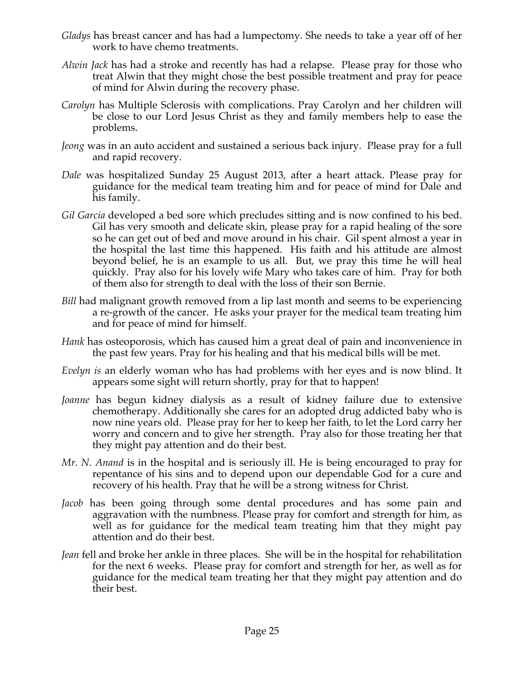- *Gladys* has breast cancer and has had a lumpectomy. She needs to take a year off of her work to have chemo treatments.
- *Alwin Jack* has had a stroke and recently has had a relapse. Please pray for those who treat Alwin that they might chose the best possible treatment and pray for peace of mind for Alwin during the recovery phase.
- *Carolyn* has Multiple Sclerosis with complications. Pray Carolyn and her children will be close to our Lord Jesus Christ as they and family members help to ease the problems.
- *Jeong* was in an auto accident and sustained a serious back injury. Please pray for a full and rapid recovery.
- *Dale* was hospitalized Sunday 25 August 2013, after a heart attack. Please pray for guidance for the medical team treating him and for peace of mind for Dale and his family.
- *Gil Garcia* developed a bed sore which precludes sitting and is now confined to his bed. Gil has very smooth and delicate skin, please pray for a rapid healing of the sore so he can get out of bed and move around in his chair. Gil spent almost a year in the hospital the last time this happened. His faith and his attitude are almost beyond belief, he is an example to us all. But, we pray this time he will heal quickly. Pray also for his lovely wife Mary who takes care of him. Pray for both of them also for strength to deal with the loss of their son Bernie.
- *Bill* had malignant growth removed from a lip last month and seems to be experiencing a re-growth of the cancer. He asks your prayer for the medical team treating him and for peace of mind for himself.
- *Hank* has osteoporosis, which has caused him a great deal of pain and inconvenience in the past few years. Pray for his healing and that his medical bills will be met.
- *Evelyn is* an elderly woman who has had problems with her eyes and is now blind. It appears some sight will return shortly, pray for that to happen!
- *Joanne* has begun kidney dialysis as a result of kidney failure due to extensive chemotherapy. Additionally she cares for an adopted drug addicted baby who is now nine years old. Please pray for her to keep her faith, to let the Lord carry her worry and concern and to give her strength. Pray also for those treating her that they might pay attention and do their best.
- *Mr. N. Anand* is in the hospital and is seriously ill. He is being encouraged to pray for repentance of his sins and to depend upon our dependable God for a cure and recovery of his health. Pray that he will be a strong witness for Christ.
- *Jacob* has been going through some dental procedures and has some pain and aggravation with the numbness. Please pray for comfort and strength for him, as well as for guidance for the medical team treating him that they might pay attention and do their best.
- *Jean* fell and broke her ankle in three places. She will be in the hospital for rehabilitation for the next 6 weeks. Please pray for comfort and strength for her, as well as for guidance for the medical team treating her that they might pay attention and do their best.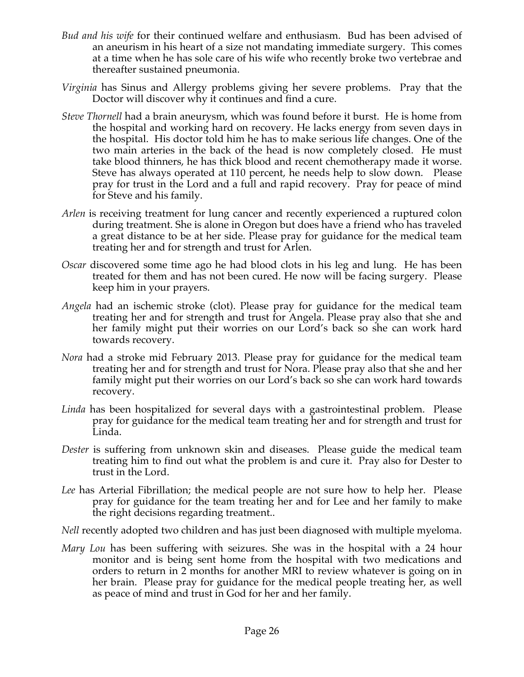- *Bud and his wife* for their continued welfare and enthusiasm. Bud has been advised of an aneurism in his heart of a size not mandating immediate surgery. This comes at a time when he has sole care of his wife who recently broke two vertebrae and thereafter sustained pneumonia.
- *Virginia* has Sinus and Allergy problems giving her severe problems. Pray that the Doctor will discover why it continues and find a cure.
- *Steve Thornell* had a brain aneurysm, which was found before it burst. He is home from the hospital and working hard on recovery. He lacks energy from seven days in the hospital. His doctor told him he has to make serious life changes. One of the two main arteries in the back of the head is now completely closed. He must take blood thinners, he has thick blood and recent chemotherapy made it worse. Steve has always operated at 110 percent, he needs help to slow down. Please pray for trust in the Lord and a full and rapid recovery. Pray for peace of mind for Steve and his family.
- *Arlen* is receiving treatment for lung cancer and recently experienced a ruptured colon during treatment. She is alone in Oregon but does have a friend who has traveled a great distance to be at her side. Please pray for guidance for the medical team treating her and for strength and trust for Arlen.
- *Oscar* discovered some time ago he had blood clots in his leg and lung. He has been treated for them and has not been cured. He now will be facing surgery. Please keep him in your prayers.
- *Angela* had an ischemic stroke (clot). Please pray for guidance for the medical team treating her and for strength and trust for Angela. Please pray also that she and her family might put their worries on our Lord's back so she can work hard towards recovery.
- *Nora* had a stroke mid February 2013. Please pray for guidance for the medical team treating her and for strength and trust for Nora. Please pray also that she and her family might put their worries on our Lord's back so she can work hard towards recovery.
- *Linda* has been hospitalized for several days with a gastrointestinal problem. Please pray for guidance for the medical team treating her and for strength and trust for Linda.
- *Dester* is suffering from unknown skin and diseases. Please guide the medical team treating him to find out what the problem is and cure it. Pray also for Dester to trust in the Lord.
- *Lee* has Arterial Fibrillation; the medical people are not sure how to help her. Please pray for guidance for the team treating her and for Lee and her family to make the right decisions regarding treatment..
- *Nell* recently adopted two children and has just been diagnosed with multiple myeloma.
- *Mary Lou* has been suffering with seizures. She was in the hospital with a 24 hour monitor and is being sent home from the hospital with two medications and orders to return in 2 months for another MRI to review whatever is going on in her brain. Please pray for guidance for the medical people treating her, as well as peace of mind and trust in God for her and her family.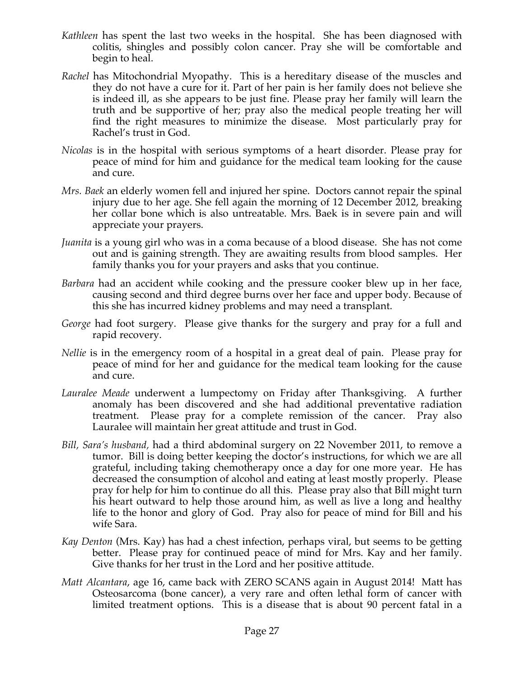- *Kathleen* has spent the last two weeks in the hospital. She has been diagnosed with colitis, shingles and possibly colon cancer. Pray she will be comfortable and begin to heal.
- *Rachel* has Mitochondrial Myopathy. This is a hereditary disease of the muscles and they do not have a cure for it. Part of her pain is her family does not believe she is indeed ill, as she appears to be just fine. Please pray her family will learn the truth and be supportive of her; pray also the medical people treating her will find the right measures to minimize the disease. Most particularly pray for Rachel's trust in God.
- *Nicolas* is in the hospital with serious symptoms of a heart disorder. Please pray for peace of mind for him and guidance for the medical team looking for the cause and cure.
- *Mrs. Baek* an elderly women fell and injured her spine. Doctors cannot repair the spinal injury due to her age. She fell again the morning of 12 December 2012, breaking her collar bone which is also untreatable. Mrs. Baek is in severe pain and will appreciate your prayers.
- *Juanita* is a young girl who was in a coma because of a blood disease. She has not come out and is gaining strength. They are awaiting results from blood samples. Her family thanks you for your prayers and asks that you continue.
- *Barbara* had an accident while cooking and the pressure cooker blew up in her face, causing second and third degree burns over her face and upper body. Because of this she has incurred kidney problems and may need a transplant.
- *George* had foot surgery. Please give thanks for the surgery and pray for a full and rapid recovery.
- *Nellie* is in the emergency room of a hospital in a great deal of pain. Please pray for peace of mind for her and guidance for the medical team looking for the cause and cure.
- *Lauralee Meade* underwent a lumpectomy on Friday after Thanksgiving. A further anomaly has been discovered and she had additional preventative radiation treatment. Please pray for a complete remission of the cancer. Pray also Lauralee will maintain her great attitude and trust in God.
- *Bill, Sara's husband,* had a third abdominal surgery on 22 November 2011, to remove a tumor. Bill is doing better keeping the doctor's instructions, for which we are all grateful, including taking chemotherapy once a day for one more year. He has decreased the consumption of alcohol and eating at least mostly properly. Please pray for help for him to continue do all this. Please pray also that Bill might turn his heart outward to help those around him, as well as live a long and healthy life to the honor and glory of God. Pray also for peace of mind for Bill and his wife Sara.
- *Kay Denton* (Mrs. Kay) has had a chest infection, perhaps viral, but seems to be getting better. Please pray for continued peace of mind for Mrs. Kay and her family. Give thanks for her trust in the Lord and her positive attitude.
- *Matt Alcantara*, age 16, came back with ZERO SCANS again in August 2014! Matt has Osteosarcoma (bone cancer), a very rare and often lethal form of cancer with limited treatment options. This is a disease that is about 90 percent fatal in a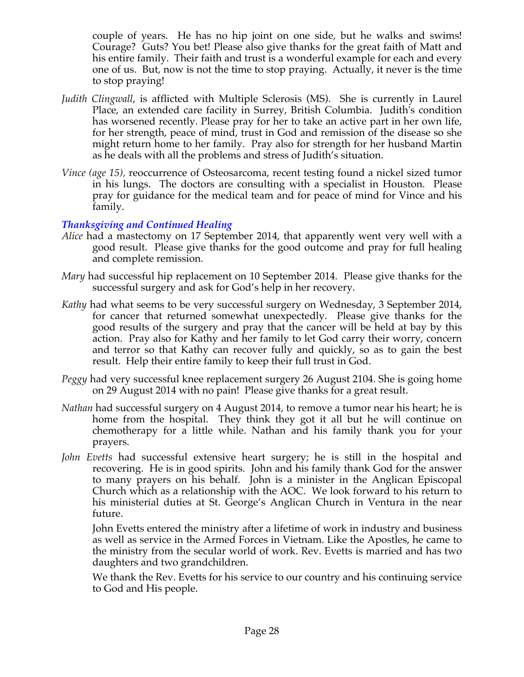couple of years. He has no hip joint on one side, but he walks and swims! Courage? Guts? You bet! Please also give thanks for the great faith of Matt and his entire family. Their faith and trust is a wonderful example for each and every one of us. But, now is not the time to stop praying. Actually, it never is the time to stop praying!

- *Judith Clingwall*, is afflicted with Multiple Sclerosis (MS). She is currently in Laurel Place, an extended care facility in Surrey, British Columbia. Judith's condition has worsened recently. Please pray for her to take an active part in her own life, for her strength, peace of mind, trust in God and remission of the disease so she might return home to her family. Pray also for strength for her husband Martin as he deals with all the problems and stress of Judith's situation.
- *Vince (age 15),* reoccurrence of Osteosarcoma, recent testing found a nickel sized tumor in his lungs. The doctors are consulting with a specialist in Houston. Please pray for guidance for the medical team and for peace of mind for Vince and his family.

#### *Thanksgiving and Continued Healing*

- *Alice* had a mastectomy on 17 September 2014, that apparently went very well with a good result. Please give thanks for the good outcome and pray for full healing and complete remission.
- *Mary* had successful hip replacement on 10 September 2014. Please give thanks for the successful surgery and ask for God's help in her recovery.
- *Kathy* had what seems to be very successful surgery on Wednesday, 3 September 2014, for cancer that returned somewhat unexpectedly. Please give thanks for the good results of the surgery and pray that the cancer will be held at bay by this action. Pray also for Kathy and her family to let God carry their worry, concern and terror so that Kathy can recover fully and quickly, so as to gain the best result. Help their entire family to keep their full trust in God.
- *Peggy* had very successful knee replacement surgery 26 August 2104. She is going home on 29 August 2014 with no pain! Please give thanks for a great result.
- *Nathan* had successful surgery on 4 August 2014, to remove a tumor near his heart; he is home from the hospital. They think they got it all but he will continue on chemotherapy for a little while. Nathan and his family thank you for your prayers.
- *John Evetts* had successful extensive heart surgery; he is still in the hospital and recovering. He is in good spirits. John and his family thank God for the answer to many prayers on his behalf. John is a minister in the Anglican Episcopal Church which as a relationship with the AOC. We look forward to his return to his ministerial duties at St. George's Anglican Church in Ventura in the near future.

John Evetts entered the ministry after a lifetime of work in industry and business as well as service in the Armed Forces in Vietnam. Like the Apostles, he came to the ministry from the secular world of work. Rev. Evetts is married and has two daughters and two grandchildren.

We thank the Rev. Evetts for his service to our country and his continuing service to God and His people.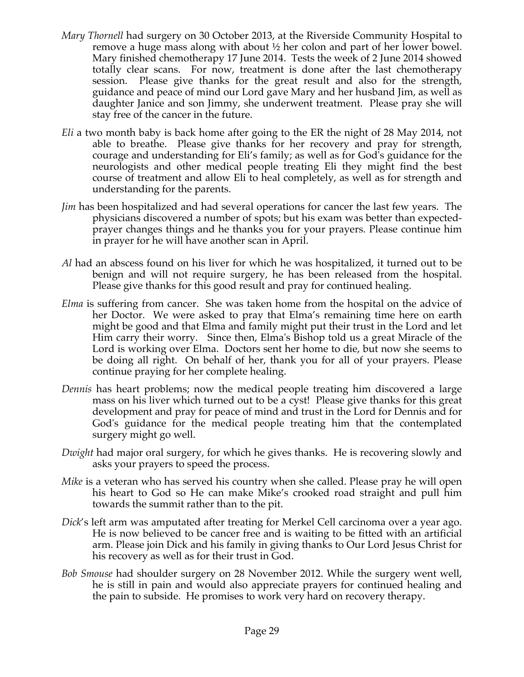- *Mary Thornell* had surgery on 30 October 2013, at the Riverside Community Hospital to remove a huge mass along with about  $\frac{1}{2}$  her colon and part of her lower bowel. Mary finished chemotherapy 17 June 2014. Tests the week of 2 June 2014 showed totally clear scans. For now, treatment is done after the last chemotherapy session. Please give thanks for the great result and also for the strength, guidance and peace of mind our Lord gave Mary and her husband Jim, as well as daughter Janice and son Jimmy, she underwent treatment. Please pray she will stay free of the cancer in the future.
- *Eli* a two month baby is back home after going to the ER the night of 28 May 2014, not able to breathe. Please give thanks for her recovery and pray for strength, courage and understanding for Eli's family; as well as for God's guidance for the neurologists and other medical people treating Eli they might find the best course of treatment and allow Eli to heal completely, as well as for strength and understanding for the parents.
- *Jim* has been hospitalized and had several operations for cancer the last few years. The physicians discovered a number of spots; but his exam was better than expectedprayer changes things and he thanks you for your prayers. Please continue him in prayer for he will have another scan in April.
- *Al* had an abscess found on his liver for which he was hospitalized, it turned out to be benign and will not require surgery, he has been released from the hospital. Please give thanks for this good result and pray for continued healing.
- *Elma* is suffering from cancer. She was taken home from the hospital on the advice of her Doctor. We were asked to pray that Elma's remaining time here on earth might be good and that Elma and family might put their trust in the Lord and let Him carry their worry. Since then, Elma's Bishop told us a great Miracle of the Lord is working over Elma. Doctors sent her home to die, but now she seems to be doing all right. On behalf of her, thank you for all of your prayers. Please continue praying for her complete healing.
- *Dennis* has heart problems; now the medical people treating him discovered a large mass on his liver which turned out to be a cyst! Please give thanks for this great development and pray for peace of mind and trust in the Lord for Dennis and for God's guidance for the medical people treating him that the contemplated surgery might go well.
- *Dwight* had major oral surgery, for which he gives thanks. He is recovering slowly and asks your prayers to speed the process.
- *Mike* is a veteran who has served his country when she called. Please pray he will open his heart to God so He can make Mike's crooked road straight and pull him towards the summit rather than to the pit.
- *Dick*'s left arm was amputated after treating for Merkel Cell carcinoma over a year ago. He is now believed to be cancer free and is waiting to be fitted with an artificial arm. Please join Dick and his family in giving thanks to Our Lord Jesus Christ for his recovery as well as for their trust in God.
- *Bob Smouse* had shoulder surgery on 28 November 2012. While the surgery went well, he is still in pain and would also appreciate prayers for continued healing and the pain to subside. He promises to work very hard on recovery therapy.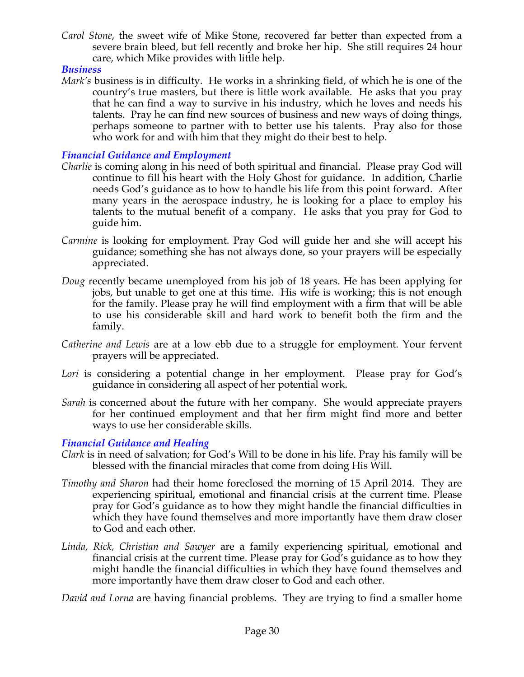*Carol Stone*, the sweet wife of Mike Stone, recovered far better than expected from a severe brain bleed, but fell recently and broke her hip. She still requires 24 hour care, which Mike provides with little help.

### *Business*

*Mark's* business is in difficulty. He works in a shrinking field, of which he is one of the country's true masters, but there is little work available. He asks that you pray that he can find a way to survive in his industry, which he loves and needs his talents. Pray he can find new sources of business and new ways of doing things, perhaps someone to partner with to better use his talents. Pray also for those who work for and with him that they might do their best to help.

# *Financial Guidance and Employment*

- *Charlie* is coming along in his need of both spiritual and financial. Please pray God will continue to fill his heart with the Holy Ghost for guidance. In addition, Charlie needs God's guidance as to how to handle his life from this point forward. After many years in the aerospace industry, he is looking for a place to employ his talents to the mutual benefit of a company. He asks that you pray for God to guide him.
- *Carmine* is looking for employment. Pray God will guide her and she will accept his guidance; something she has not always done, so your prayers will be especially appreciated.
- *Doug* recently became unemployed from his job of 18 years. He has been applying for jobs, but unable to get one at this time. His wife is working; this is not enough for the family. Please pray he will find employment with a firm that will be able to use his considerable skill and hard work to benefit both the firm and the family.
- *Catherine and Lewis* are at a low ebb due to a struggle for employment. Your fervent prayers will be appreciated.
- *Lori* is considering a potential change in her employment. Please pray for God's guidance in considering all aspect of her potential work.
- *Sarah* is concerned about the future with her company. She would appreciate prayers for her continued employment and that her firm might find more and better ways to use her considerable skills.

# *Financial Guidance and Healing*

- *Clark* is in need of salvation; for God's Will to be done in his life. Pray his family will be blessed with the financial miracles that come from doing His Will.
- *Timothy and Sharon* had their home foreclosed the morning of 15 April 2014. They are experiencing spiritual, emotional and financial crisis at the current time. Please pray for God's guidance as to how they might handle the financial difficulties in which they have found themselves and more importantly have them draw closer to God and each other.
- *Linda, Rick, Christian and Sawyer* are a family experiencing spiritual, emotional and financial crisis at the current time. Please pray for God's guidance as to how they might handle the financial difficulties in which they have found themselves and more importantly have them draw closer to God and each other.

*David and Lorna* are having financial problems. They are trying to find a smaller home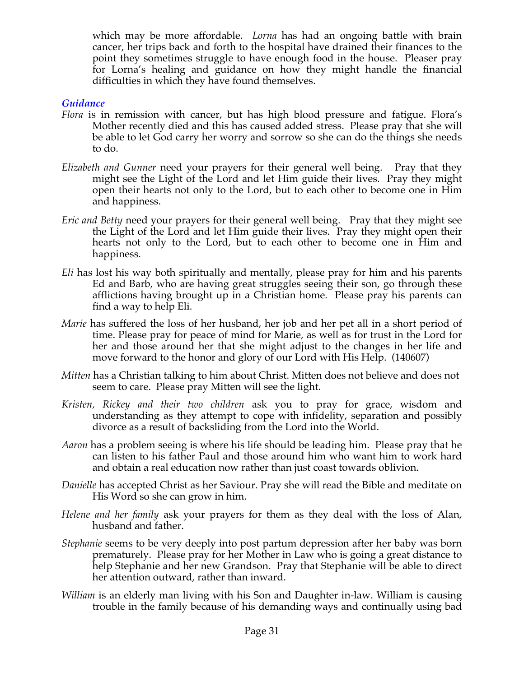which may be more affordable. *Lorna* has had an ongoing battle with brain cancer, her trips back and forth to the hospital have drained their finances to the point they sometimes struggle to have enough food in the house. Pleaser pray for Lorna's healing and guidance on how they might handle the financial difficulties in which they have found themselves.

### *Guidance*

- *Flora* is in remission with cancer, but has high blood pressure and fatigue. Flora's Mother recently died and this has caused added stress. Please pray that she will be able to let God carry her worry and sorrow so she can do the things she needs to do.
- *Elizabeth and Gunner* need your prayers for their general well being. Pray that they might see the Light of the Lord and let Him guide their lives. Pray they might open their hearts not only to the Lord, but to each other to become one in Him and happiness.
- *Eric and Betty* need your prayers for their general well being. Pray that they might see the Light of the Lord and let Him guide their lives. Pray they might open their hearts not only to the Lord, but to each other to become one in Him and happiness.
- *Eli* has lost his way both spiritually and mentally, please pray for him and his parents Ed and Barb, who are having great struggles seeing their son, go through these afflictions having brought up in a Christian home. Please pray his parents can find a way to help Eli.
- *Marie* has suffered the loss of her husband, her job and her pet all in a short period of time. Please pray for peace of mind for Marie, as well as for trust in the Lord for her and those around her that she might adjust to the changes in her life and move forward to the honor and glory of our Lord with His Help. (140607)
- *Mitten* has a Christian talking to him about Christ. Mitten does not believe and does not seem to care. Please pray Mitten will see the light.
- *Kristen, Rickey and their two children* ask you to pray for grace, wisdom and understanding as they attempt to cope with infidelity, separation and possibly divorce as a result of backsliding from the Lord into the World.
- *Aaron* has a problem seeing is where his life should be leading him. Please pray that he can listen to his father Paul and those around him who want him to work hard and obtain a real education now rather than just coast towards oblivion.
- *Danielle* has accepted Christ as her Saviour. Pray she will read the Bible and meditate on His Word so she can grow in him.
- *Helene and her family* ask your prayers for them as they deal with the loss of Alan, husband and father.
- *Stephanie* seems to be very deeply into post partum depression after her baby was born prematurely. Please pray for her Mother in Law who is going a great distance to help Stephanie and her new Grandson. Pray that Stephanie will be able to direct her attention outward, rather than inward.
- *William* is an elderly man living with his Son and Daughter in-law. William is causing trouble in the family because of his demanding ways and continually using bad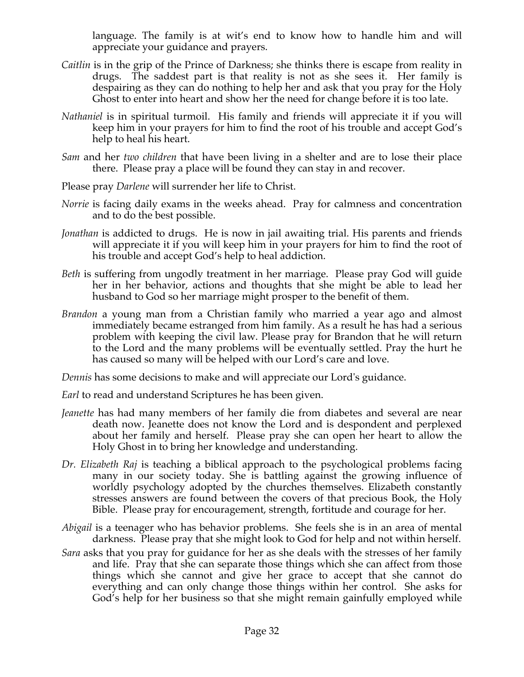language. The family is at wit's end to know how to handle him and will appreciate your guidance and prayers.

- *Caitlin* is in the grip of the Prince of Darkness; she thinks there is escape from reality in drugs. The saddest part is that reality is not as she sees it. Her family is despairing as they can do nothing to help her and ask that you pray for the Holy Ghost to enter into heart and show her the need for change before it is too late.
- *Nathaniel* is in spiritual turmoil. His family and friends will appreciate it if you will keep him in your prayers for him to find the root of his trouble and accept God's help to heal his heart.
- *Sam* and her *two children* that have been living in a shelter and are to lose their place there. Please pray a place will be found they can stay in and recover.
- Please pray *Darlene* will surrender her life to Christ.
- *Norrie* is facing daily exams in the weeks ahead. Pray for calmness and concentration and to do the best possible.
- *Jonathan* is addicted to drugs. He is now in jail awaiting trial. His parents and friends will appreciate it if you will keep him in your prayers for him to find the root of his trouble and accept God's help to heal addiction.
- *Beth* is suffering from ungodly treatment in her marriage. Please pray God will guide her in her behavior, actions and thoughts that she might be able to lead her husband to God so her marriage might prosper to the benefit of them.
- *Brandon* a young man from a Christian family who married a year ago and almost immediately became estranged from him family. As a result he has had a serious problem with keeping the civil law. Please pray for Brandon that he will return to the Lord and the many problems will be eventually settled. Pray the hurt he has caused so many will be helped with our Lord's care and love.

*Dennis* has some decisions to make and will appreciate our Lord's guidance.

- *Earl* to read and understand Scriptures he has been given.
- *Jeanette* has had many members of her family die from diabetes and several are near death now. Jeanette does not know the Lord and is despondent and perplexed about her family and herself. Please pray she can open her heart to allow the Holy Ghost in to bring her knowledge and understanding.
- *Dr. Elizabeth Raj* is teaching a biblical approach to the psychological problems facing many in our society today. She is battling against the growing influence of worldly psychology adopted by the churches themselves. Elizabeth constantly stresses answers are found between the covers of that precious Book, the Holy Bible. Please pray for encouragement, strength, fortitude and courage for her.
- *Abigail* is a teenager who has behavior problems. She feels she is in an area of mental darkness. Please pray that she might look to God for help and not within herself.
- *Sara* asks that you pray for guidance for her as she deals with the stresses of her family and life. Pray that she can separate those things which she can affect from those things which she cannot and give her grace to accept that she cannot do everything and can only change those things within her control. She asks for God's help for her business so that she might remain gainfully employed while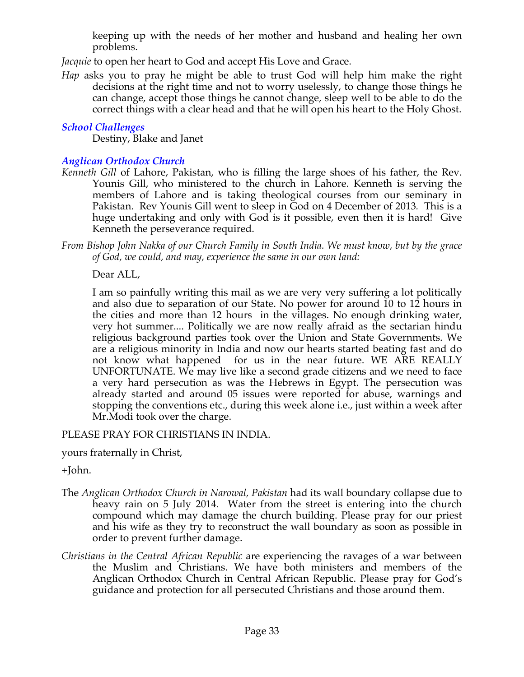keeping up with the needs of her mother and husband and healing her own problems.

*Jacquie* to open her heart to God and accept His Love and Grace.

*Hap* asks you to pray he might be able to trust God will help him make the right decisions at the right time and not to worry uselessly, to change those things he can change, accept those things he cannot change, sleep well to be able to do the correct things with a clear head and that he will open his heart to the Holy Ghost.

# *School Challenges*

Destiny, Blake and Janet

# *Anglican Orthodox Church*

*Kenneth Gill* of Lahore, Pakistan, who is filling the large shoes of his father, the Rev. Younis Gill, who ministered to the church in Lahore. Kenneth is serving the members of Lahore and is taking theological courses from our seminary in Pakistan. Rev Younis Gill went to sleep in God on 4 December of 2013*.* This is a huge undertaking and only with God is it possible, even then it is hard! Give Kenneth the perseverance required.

*From Bishop John Nakka of our Church Family in South India. We must know, but by the grace of God, we could, and may, experience the same in our own land:*

Dear ALL,

I am so painfully writing this mail as we are very very suffering a lot politically and also due to separation of our State. No power for around 10 to 12 hours in the cities and more than 12 hours in the villages. No enough drinking water, very hot summer.... Politically we are now really afraid as the sectarian hindu religious background parties took over the Union and State Governments. We are a religious minority in India and now our hearts started beating fast and do not know what happened for us in the near future. WE ARE REALLY UNFORTUNATE. We may live like a second grade citizens and we need to face a very hard persecution as was the Hebrews in Egypt. The persecution was already started and around 05 issues were reported for abuse, warnings and stopping the conventions etc., during this week alone i.e., just within a week after Mr.Modi took over the charge.

PLEASE PRAY FOR CHRISTIANS IN INDIA.

yours fraternally in Christ,

+John.

- The *Anglican Orthodox Church in Narowal, Pakistan* had its wall boundary collapse due to heavy rain on 5 July 2014. Water from the street is entering into the church compound which may damage the church building. Please pray for our priest and his wife as they try to reconstruct the wall boundary as soon as possible in order to prevent further damage.
- *Christians in the Central African Republic* are experiencing the ravages of a war between the Muslim and Christians. We have both ministers and members of the Anglican Orthodox Church in Central African Republic. Please pray for God's guidance and protection for all persecuted Christians and those around them.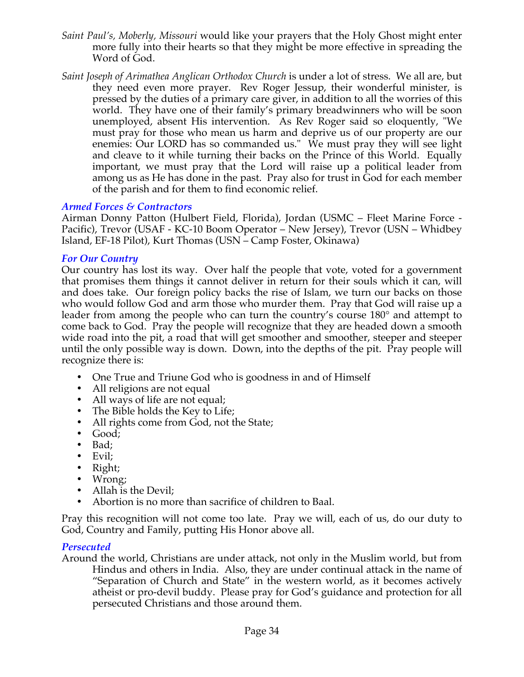- *Saint Paul's, Moberly, Missouri* would like your prayers that the Holy Ghost might enter more fully into their hearts so that they might be more effective in spreading the Word of God.
- *Saint Joseph of Arimathea Anglican Orthodox Church* is under a lot of stress. We all are, but they need even more prayer. Rev Roger Jessup, their wonderful minister, is pressed by the duties of a primary care giver, in addition to all the worries of this world. They have one of their family's primary breadwinners who will be soon unemployed, absent His intervention. As Rev Roger said so eloquently, "We must pray for those who mean us harm and deprive us of our property are our enemies: Our LORD has so commanded us." We must pray they will see light and cleave to it while turning their backs on the Prince of this World. Equally important, we must pray that the Lord will raise up a political leader from among us as He has done in the past. Pray also for trust in God for each member of the parish and for them to find economic relief.

### *Armed Forces & Contractors*

Airman Donny Patton (Hulbert Field, Florida), Jordan (USMC – Fleet Marine Force - Pacific), Trevor (USAF - KC-10 Boom Operator – New Jersey), Trevor (USN – Whidbey Island, EF-18 Pilot), Kurt Thomas (USN – Camp Foster, Okinawa)

#### *For Our Country*

Our country has lost its way. Over half the people that vote, voted for a government that promises them things it cannot deliver in return for their souls which it can, will and does take. Our foreign policy backs the rise of Islam, we turn our backs on those who would follow God and arm those who murder them. Pray that God will raise up a leader from among the people who can turn the country's course 180° and attempt to come back to God. Pray the people will recognize that they are headed down a smooth wide road into the pit, a road that will get smoother and smoother, steeper and steeper until the only possible way is down. Down, into the depths of the pit. Pray people will recognize there is:

- One True and Triune God who is goodness in and of Himself
- All religions are not equal
- All ways of life are not equal;
- The Bible holds the Key to Life;
- All rights come from God, not the State;
- Good;
- Bad;
- Evil;
- Right;
- Wrong;
- Allah is the Devil;
- Abortion is no more than sacrifice of children to Baal.

Pray this recognition will not come too late. Pray we will, each of us, do our duty to God, Country and Family, putting His Honor above all.

#### *Persecuted*

Around the world, Christians are under attack, not only in the Muslim world, but from Hindus and others in India. Also, they are under continual attack in the name of "Separation of Church and State" in the western world, as it becomes actively atheist or pro-devil buddy. Please pray for God's guidance and protection for all persecuted Christians and those around them.